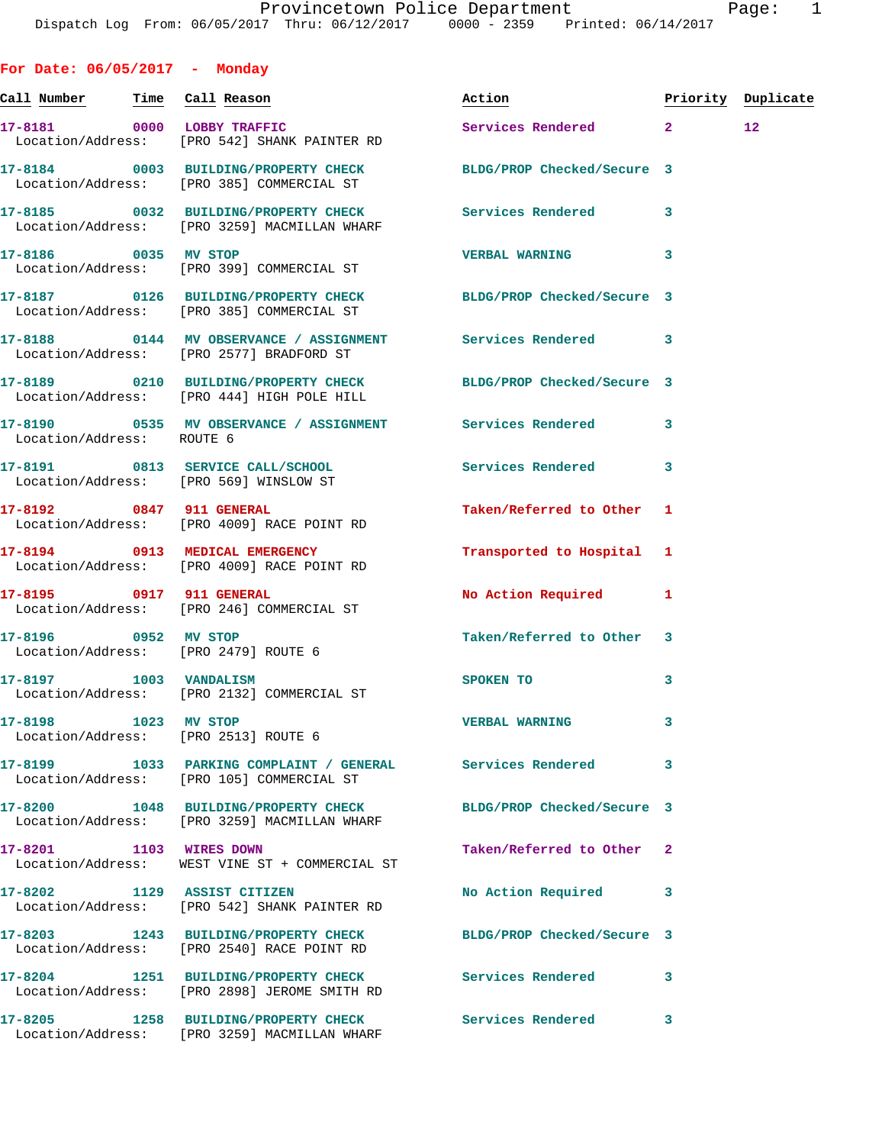| For Date: $06/05/2017$ - Monday       |                                                                                                               |                            |    |                    |
|---------------------------------------|---------------------------------------------------------------------------------------------------------------|----------------------------|----|--------------------|
| <u>Call Number — Time Call Reason</u> |                                                                                                               | Action                     |    | Priority Duplicate |
|                                       | 17-8181 0000 LOBBY TRAFFIC<br>Location/Address: [PRO 542] SHANK PAINTER RD                                    | Services Rendered 2        |    | 12                 |
|                                       | 17-8184 0003 BUILDING/PROPERTY CHECK BLDG/PROP Checked/Secure 3<br>Location/Address: [PRO 385] COMMERCIAL ST  |                            |    |                    |
|                                       | 17-8185 0032 BUILDING/PROPERTY CHECK Services Rendered 3<br>Location/Address: [PRO 3259] MACMILLAN WHARF      |                            |    |                    |
| 17-8186 0035 MV STOP                  | Location/Address: [PRO 399] COMMERCIAL ST                                                                     | <b>VERBAL WARNING</b>      | 3  |                    |
|                                       | 17-8187  0126 BUILDING/PROPERTY CHECK BLDG/PROP Checked/Secure 3<br>Location/Address: [PRO 385] COMMERCIAL ST |                            |    |                    |
|                                       | 17-8188 0144 MV OBSERVANCE / ASSIGNMENT Services Rendered 3<br>Location/Address: [PRO 2577] BRADFORD ST       |                            |    |                    |
|                                       | 17-8189 0210 BUILDING/PROPERTY CHECK BLDG/PROP Checked/Secure 3<br>Location/Address: [PRO 444] HIGH POLE HILL |                            |    |                    |
| Location/Address: ROUTE 6             | 17-8190 0535 MV OBSERVANCE / ASSIGNMENT Services Rendered 3                                                   |                            |    |                    |
|                                       | 17-8191 0813 SERVICE CALL/SCHOOL Services Rendered<br>Location/Address: [PRO 569] WINSLOW ST                  |                            | 3  |                    |
|                                       | 17-8192 0847 911 GENERAL<br>Location/Address: [PRO 4009] RACE POINT RD                                        | Taken/Referred to Other 1  |    |                    |
|                                       | 17-8194 0913 MEDICAL EMERGENCY<br>Location/Address: [PRO 4009] RACE POINT RD                                  | Transported to Hospital 1  |    |                    |
|                                       | 17-8195 0917 911 GENERAL<br>Location/Address: [PRO 246] COMMERCIAL ST                                         | No Action Required 1       |    |                    |
| Location/Address: [PRO 2479] ROUTE 6  | 17-8196 0952 MV STOP                                                                                          | Taken/Referred to Other 3  |    |                    |
| 17-8197 1003 VANDALISM                | Location/Address: [PRO 2132] COMMERCIAL ST                                                                    | SPOKEN TO                  | 3  |                    |
| 17-8198 1023 MV STOP                  | Location/Address: [PRO 2513] ROUTE 6                                                                          | <b>VERBAL WARNING</b>      | 3  |                    |
|                                       | 17-8199 1033 PARKING COMPLAINT / GENERAL Services Rendered<br>Location/Address: [PRO 105] COMMERCIAL ST       |                            | 3  |                    |
|                                       | 17-8200 1048 BUILDING/PROPERTY CHECK<br>Location/Address: [PRO 3259] MACMILLAN WHARF                          | BLDG/PROP Checked/Secure 3 |    |                    |
| 17-8201 1103 WIRES DOWN               | Location/Address: WEST VINE ST + COMMERCIAL ST                                                                | Taken/Referred to Other    | -2 |                    |
|                                       | 17-8202 1129 ASSIST CITIZEN<br>Location/Address: [PRO 542] SHANK PAINTER RD                                   | No Action Required         | 3  |                    |
|                                       | 17-8203 1243 BUILDING/PROPERTY CHECK<br>Location/Address: [PRO 2540] RACE POINT RD                            | BLDG/PROP Checked/Secure 3 |    |                    |
|                                       | 17-8204 1251 BUILDING/PROPERTY CHECK Services Rendered<br>Location/Address: [PRO 2898] JEROME SMITH RD        |                            | 3  |                    |
|                                       | 17-8205 1258 BUILDING/PROPERTY CHECK Services Rendered<br>Location/Address: [PRO 3259] MACMILLAN WHARF        |                            | 3  |                    |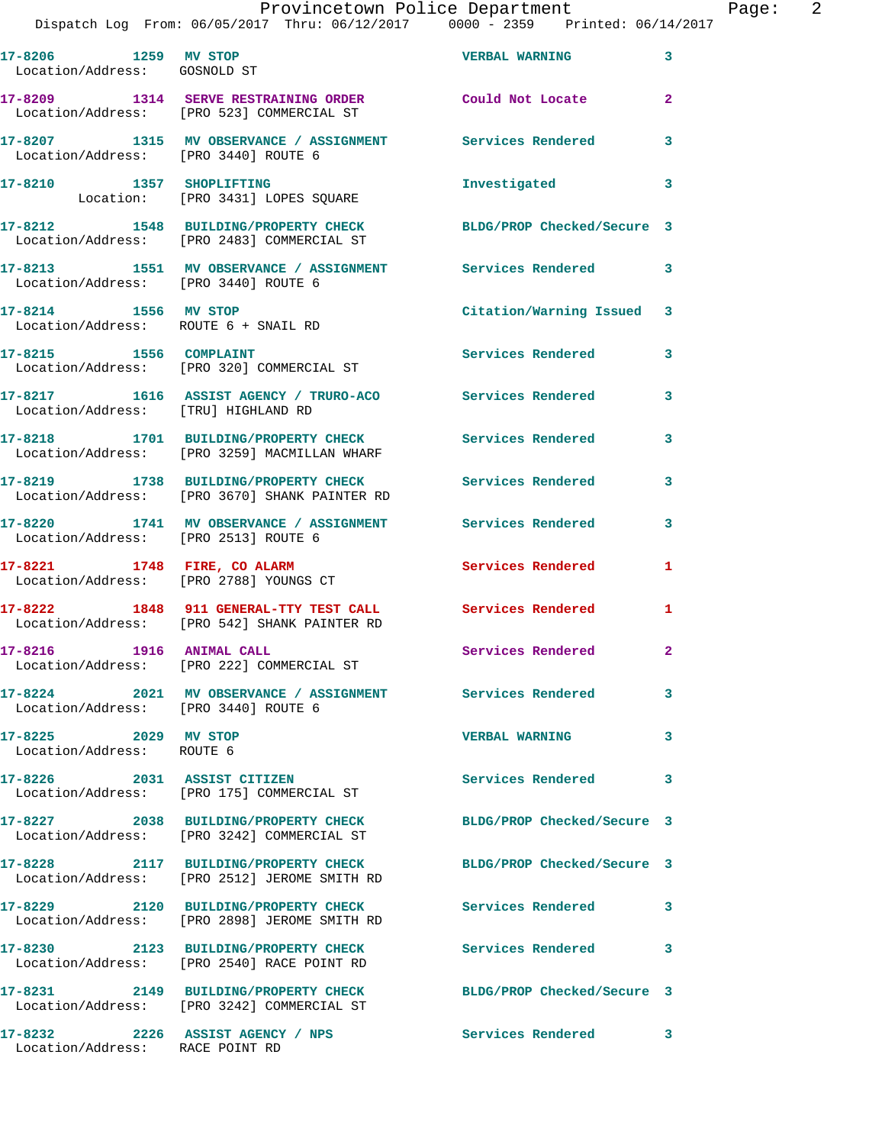|  |  |  |               |  |  |             |  |   | Provincetown Police Department |  |                               | Page: | ╯ |  |
|--|--|--|---------------|--|--|-------------|--|---|--------------------------------|--|-------------------------------|-------|---|--|
|  |  |  | ------------- |  |  | ----------- |  | . | $\bullet$                      |  | _ _ _ _ _ _ _ _ _ _ _ _ _ _ _ |       |   |  |

|                                                      | Dispatch Log From: 06/05/2017 Thru: 06/12/2017 0000 - 2359 Printed: 06/14/2017                                  |                            |                |
|------------------------------------------------------|-----------------------------------------------------------------------------------------------------------------|----------------------------|----------------|
| 17-8206 1259 MV STOP<br>Location/Address: GOSNOLD ST |                                                                                                                 | <b>VERBAL WARNING</b>      | 3              |
|                                                      | 17-8209 1314 SERVE RESTRAINING ORDER Could Not Locate<br>Location/Address: [PRO 523] COMMERCIAL ST              |                            | $\mathbf{2}$   |
| Location/Address: [PRO 3440] ROUTE 6                 | 17-8207 1315 MV OBSERVANCE / ASSIGNMENT Services Rendered                                                       |                            | 3              |
| 17-8210 1357 SHOPLIFTING                             | Location: [PRO 3431] LOPES SQUARE                                                                               | Investigated               | 3              |
|                                                      | 17-8212 1548 BUILDING/PROPERTY CHECK<br>Location/Address: [PRO 2483] COMMERCIAL ST                              | BLDG/PROP Checked/Secure 3 |                |
| Location/Address: [PRO 3440] ROUTE 6                 | 17-8213 1551 MV OBSERVANCE / ASSIGNMENT Services Rendered                                                       |                            | 3              |
| 17-8214 1556 MV STOP                                 | Location/Address: ROUTE 6 + SNAIL RD                                                                            | Citation/Warning Issued    | 3              |
|                                                      | 17-8215 1556 COMPLAINT<br>Location/Address: [PRO 320] COMMERCIAL ST                                             | <b>Services Rendered</b>   | 3              |
| Location/Address: [TRU] HIGHLAND RD                  | 17-8217 1616 ASSIST AGENCY / TRURO-ACO Services Rendered                                                        |                            | 3              |
|                                                      | 17-8218 1701 BUILDING/PROPERTY CHECK Services Rendered<br>Location/Address: [PRO 3259] MACMILLAN WHARF          |                            | 3              |
|                                                      | 17-8219 1738 BUILDING/PROPERTY CHECK Services Rendered<br>Location/Address: [PRO 3670] SHANK PAINTER RD         |                            | 3              |
| Location/Address: [PRO 2513] ROUTE 6                 | 17-8220 1741 MV OBSERVANCE / ASSIGNMENT Services Rendered                                                       |                            | 3              |
| 17-8221 1748 FIRE, CO ALARM                          | Location/Address: [PRO 2788] YOUNGS CT                                                                          | Services Rendered          | 1              |
|                                                      | 17-8222 1848 911 GENERAL-TTY TEST CALL Services Rendered<br>Location/Address: [PRO 542] SHANK PAINTER RD        |                            | 1              |
| 17-8216 1916 ANIMAL CALL                             | Location/Address: [PRO 222] COMMERCIAL ST                                                                       | <b>Services Rendered</b>   | $\overline{2}$ |
| Location/Address: [PRO 3440] ROUTE 6                 | 17-8224 2021 MV OBSERVANCE / ASSIGNMENT Services Rendered                                                       |                            | 3              |
| 17-8225 2029 MV STOP<br>Location/Address: ROUTE 6    |                                                                                                                 | <b>VERBAL WARNING</b>      | 3              |
|                                                      | 17-8226 2031 ASSIST CITIZEN<br>Location/Address: [PRO 175] COMMERCIAL ST                                        | <b>Services Rendered</b>   | 3              |
|                                                      | 17-8227 2038 BUILDING/PROPERTY CHECK BLDG/PROP Checked/Secure 3<br>Location/Address: [PRO 3242] COMMERCIAL ST   |                            |                |
|                                                      | 17-8228 2117 BUILDING/PROPERTY CHECK BLDG/PROP Checked/Secure 3<br>Location/Address: [PRO 2512] JEROME SMITH RD |                            |                |
|                                                      | 17-8229 2120 BUILDING/PROPERTY CHECK Services Rendered<br>Location/Address: [PRO 2898] JEROME SMITH RD          |                            | 3              |
|                                                      | 17-8230 2123 BUILDING/PROPERTY CHECK<br>Location/Address: [PRO 2540] RACE POINT RD                              | <b>Services Rendered</b>   | 3              |
|                                                      | 17-8231 2149 BUILDING/PROPERTY CHECK<br>Location/Address: [PRO 3242] COMMERCIAL ST                              | BLDG/PROP Checked/Secure 3 |                |
|                                                      |                                                                                                                 | Services Rendered          | 3              |

Location/Address: RACE POINT RD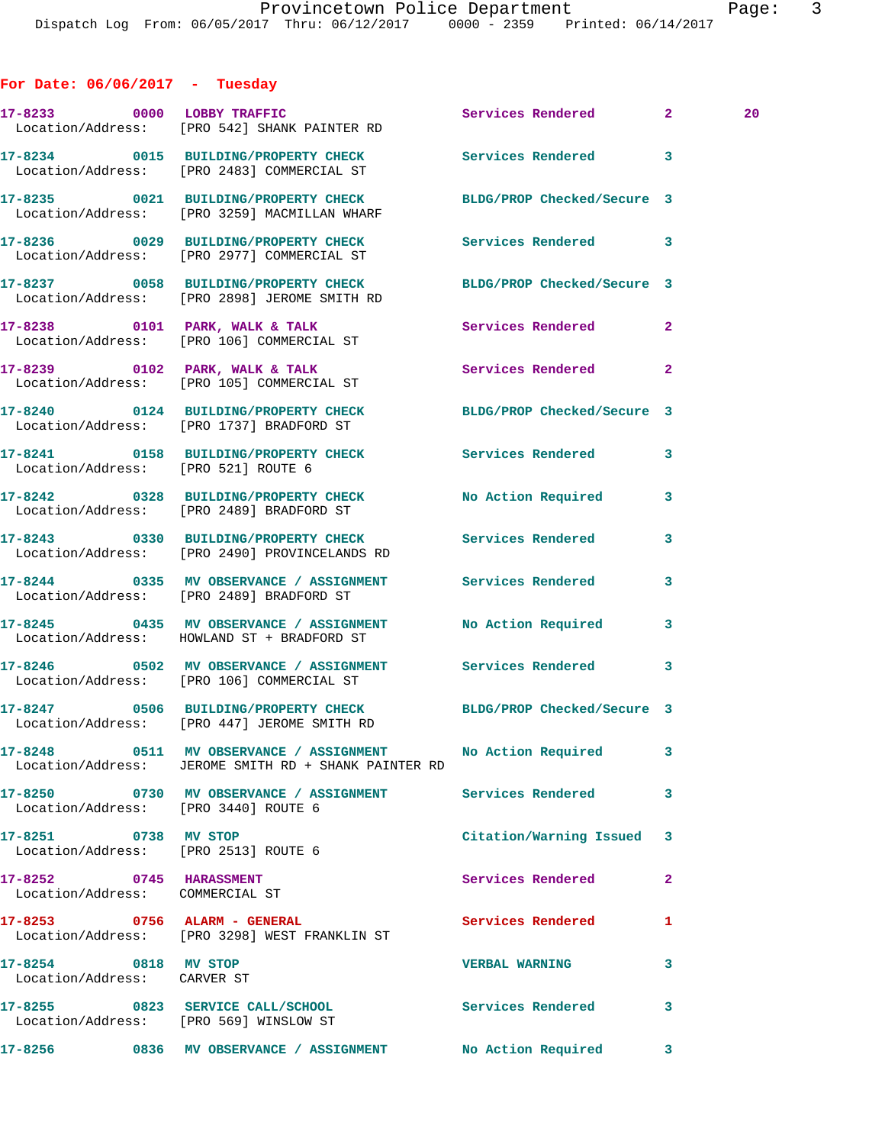**For Date: 06/06/2017 - Tuesday**

## **17-8233 0000 LOBBY TRAFFIC Services Rendered 2 20**  Location/Address: [PRO 542] SHANK PAINTER RD **17-8234 0015 BUILDING/PROPERTY CHECK Services Rendered 3**  Location/Address: [PRO 2483] COMMERCIAL ST **17-8235 0021 BUILDING/PROPERTY CHECK BLDG/PROP Checked/Secure 3**  Location/Address: [PRO 3259] MACMILLAN WHARF **17-8236 0029 BUILDING/PROPERTY CHECK Services Rendered 3**  Location/Address: [PRO 2977] COMMERCIAL ST **17-8237 0058 BUILDING/PROPERTY CHECK BLDG/PROP Checked/Secure 3**  Location/Address: [PRO 2898] JEROME SMITH RD 17-8238 0101 PARK, WALK & TALK **Services Rendered** 2 Location/Address: [PRO 106] COMMERCIAL ST **17-8239 0102 PARK, WALK & TALK Services Rendered 2**  Location/Address: [PRO 105] COMMERCIAL ST **17-8240 0124 BUILDING/PROPERTY CHECK BLDG/PROP Checked/Secure 3**  Location/Address: [PRO 1737] BRADFORD ST **17-8241 0158 BUILDING/PROPERTY CHECK Services Rendered 3**  Location/Address: [PRO 521] ROUTE 6 **17-8242 0328 BUILDING/PROPERTY CHECK No Action Required 3**  Location/Address: [PRO 2489] BRADFORD ST **17-8243 0330 BUILDING/PROPERTY CHECK Services Rendered 3**  Location/Address: [PRO 2490] PROVINCELANDS RD **17-8244 0335 MV OBSERVANCE / ASSIGNMENT Services Rendered 3**  Location/Address: [PRO 2489] BRADFORD ST **17-8245 0435 MV OBSERVANCE / ASSIGNMENT No Action Required 3**  Location/Address: HOWLAND ST + BRADFORD ST **17-8246 0502 MV OBSERVANCE / ASSIGNMENT Services Rendered 3**  Location/Address: [PRO 106] COMMERCIAL ST **17-8247 0506 BUILDING/PROPERTY CHECK BLDG/PROP Checked/Secure 3**  Location/Address: [PRO 447] JEROME SMITH RD **17-8248 0511 MV OBSERVANCE / ASSIGNMENT No Action Required 3**  Location/Address: JEROME SMITH RD + SHANK PAINTER RD **17-8250 0730 MV OBSERVANCE / ASSIGNMENT Services Rendered 3**  Location/Address: [PRO 3440] ROUTE 6 **17-8251 0738 MV STOP Citation/Warning Issued 3**  Location/Address: [PRO 2513] ROUTE 6 17-8252 0745 HARASSMENT Services Rendered 2 Location/Address: COMMERCIAL ST **17-8253 0756 ALARM - GENERAL Services Rendered 1**  Location/Address: [PRO 3298] WEST FRANKLIN ST **17-8254 0818 MV STOP VERBAL WARNING 3**  Location/Address: CARVER ST **17-8255 0823 SERVICE CALL/SCHOOL Services Rendered 3**  Location/Address: [PRO 569] WINSLOW ST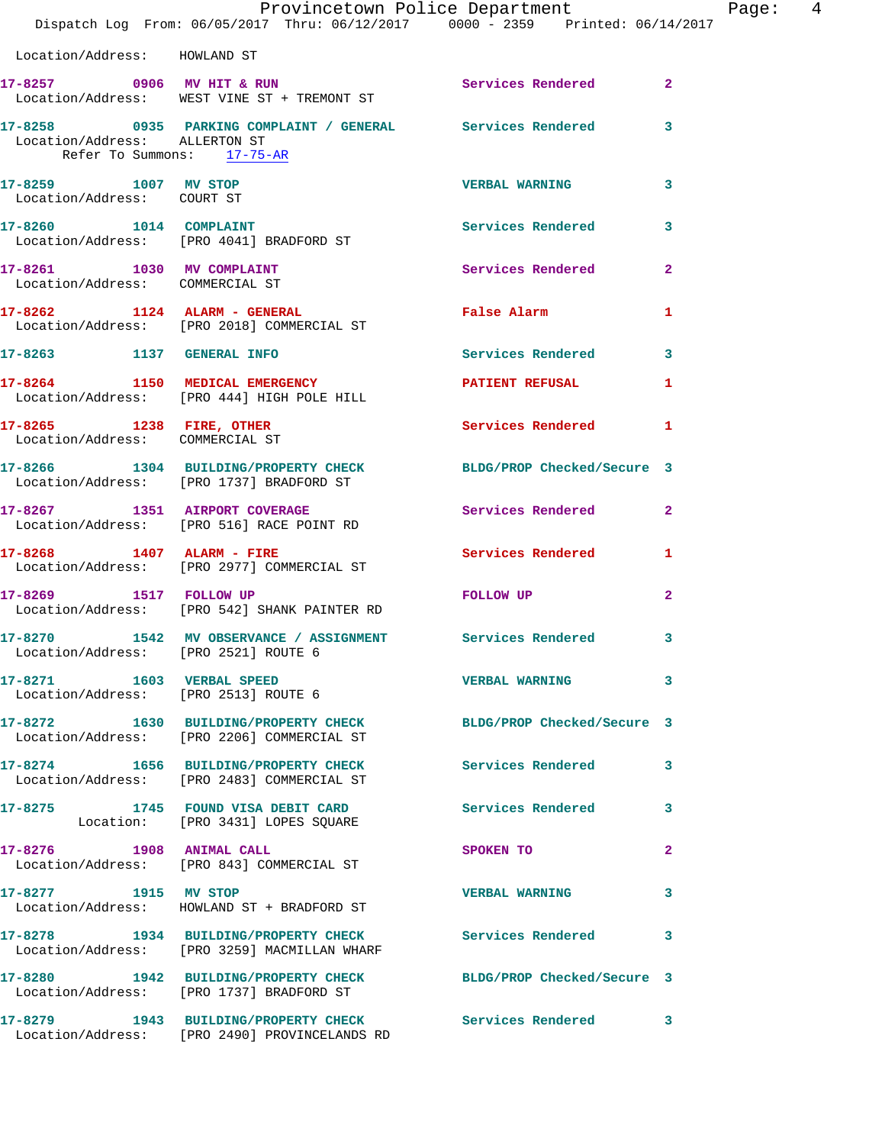|                                                                   | Provincetown Police Department<br>Dispatch Log From: 06/05/2017 Thru: 06/12/2017 0000 - 2359 Printed: 06/14/2017 |                            |                |
|-------------------------------------------------------------------|------------------------------------------------------------------------------------------------------------------|----------------------------|----------------|
| Location/Address: HOWLAND ST                                      |                                                                                                                  |                            |                |
|                                                                   | 17-8257 0906 MV HIT & RUN<br>Location/Address: WEST VINE ST + TREMONT ST                                         | Services Rendered          | $\overline{2}$ |
| Location/Address: ALLERTON ST<br>Refer To Summons: 17-75-AR       | 17-8258 0935 PARKING COMPLAINT / GENERAL Services Rendered                                                       |                            | 3              |
| 17-8259 1007 MV STOP<br>Location/Address: COURT ST                |                                                                                                                  | <b>VERBAL WARNING</b>      | 3              |
|                                                                   | 17-8260 1014 COMPLAINT<br>Location/Address: [PRO 4041] BRADFORD ST                                               | <b>Services Rendered</b>   | 3              |
| 17-8261 1030 MV COMPLAINT<br>Location/Address: COMMERCIAL ST      |                                                                                                                  | Services Rendered          | $\overline{a}$ |
|                                                                   | 17-8262 1124 ALARM - GENERAL<br>Location/Address: [PRO 2018] COMMERCIAL ST                                       | False Alarm                | 1              |
|                                                                   | 17-8263 1137 GENERAL INFO                                                                                        | Services Rendered          | 3              |
|                                                                   | 17-8264 1150 MEDICAL EMERGENCY<br>Location/Address: [PRO 444] HIGH POLE HILL                                     | <b>PATIENT REFUSAL</b>     | 1              |
| 17-8265 1238 FIRE, OTHER<br>Location/Address: COMMERCIAL ST       |                                                                                                                  | <b>Services Rendered</b>   | $\mathbf{1}$   |
|                                                                   | 17-8266 1304 BUILDING/PROPERTY CHECK<br>Location/Address: [PRO 1737] BRADFORD ST                                 | BLDG/PROP Checked/Secure 3 |                |
|                                                                   | 17-8267 1351 AIRPORT COVERAGE<br>Location/Address: [PRO 516] RACE POINT RD                                       | <b>Services Rendered</b>   | $\overline{a}$ |
| 17-8268 1407 ALARM - FIRE                                         | Location/Address: [PRO 2977] COMMERCIAL ST                                                                       | Services Rendered          | 1              |
| 17-8269 1517 FOLLOW UP                                            | Location/Address: [PRO 542] SHANK PAINTER RD                                                                     | FOLLOW UP                  | $\overline{a}$ |
| Location/Address: [PRO 2521] ROUTE 6                              | 17-8270 1542 MV OBSERVANCE / ASSIGNMENT Services Rendered                                                        |                            | 3              |
| 17-8271 1603 VERBAL SPEED<br>Location/Address: [PRO 2513] ROUTE 6 |                                                                                                                  | <b>VERBAL WARNING</b>      | 3              |
|                                                                   | 17-8272 1630 BUILDING/PROPERTY CHECK BLDG/PROP Checked/Secure 3<br>Location/Address: [PRO 2206] COMMERCIAL ST    |                            |                |
|                                                                   | 17-8274 1656 BUILDING/PROPERTY CHECK<br>Location/Address: [PRO 2483] COMMERCIAL ST                               | <b>Services Rendered</b>   | 3              |
|                                                                   | 17-8275 1745 FOUND VISA DEBIT CARD<br>Location: [PRO 3431] LOPES SQUARE                                          | <b>Services Rendered</b>   | 3              |
| 17-8276 1908 ANIMAL CALL                                          | Location/Address: [PRO 843] COMMERCIAL ST                                                                        | <b>SPOKEN TO</b>           | $\overline{a}$ |
|                                                                   | 17-8277 1915 MV STOP<br>Location/Address: HOWLAND ST + BRADFORD ST                                               | <b>VERBAL WARNING</b>      | 3              |
|                                                                   | 17-8278 1934 BUILDING/PROPERTY CHECK Services Rendered<br>Location/Address: [PRO 3259] MACMILLAN WHARF           |                            | 3              |
|                                                                   | 17-8280 1942 BUILDING/PROPERTY CHECK<br>Location/Address: [PRO 1737] BRADFORD ST                                 | BLDG/PROP Checked/Secure 3 |                |
|                                                                   | 17-8279 1943 BUILDING/PROPERTY CHECK Services Rendered 3                                                         |                            |                |

Location/Address: [PRO 2490] PROVINCELANDS RD

Page: 4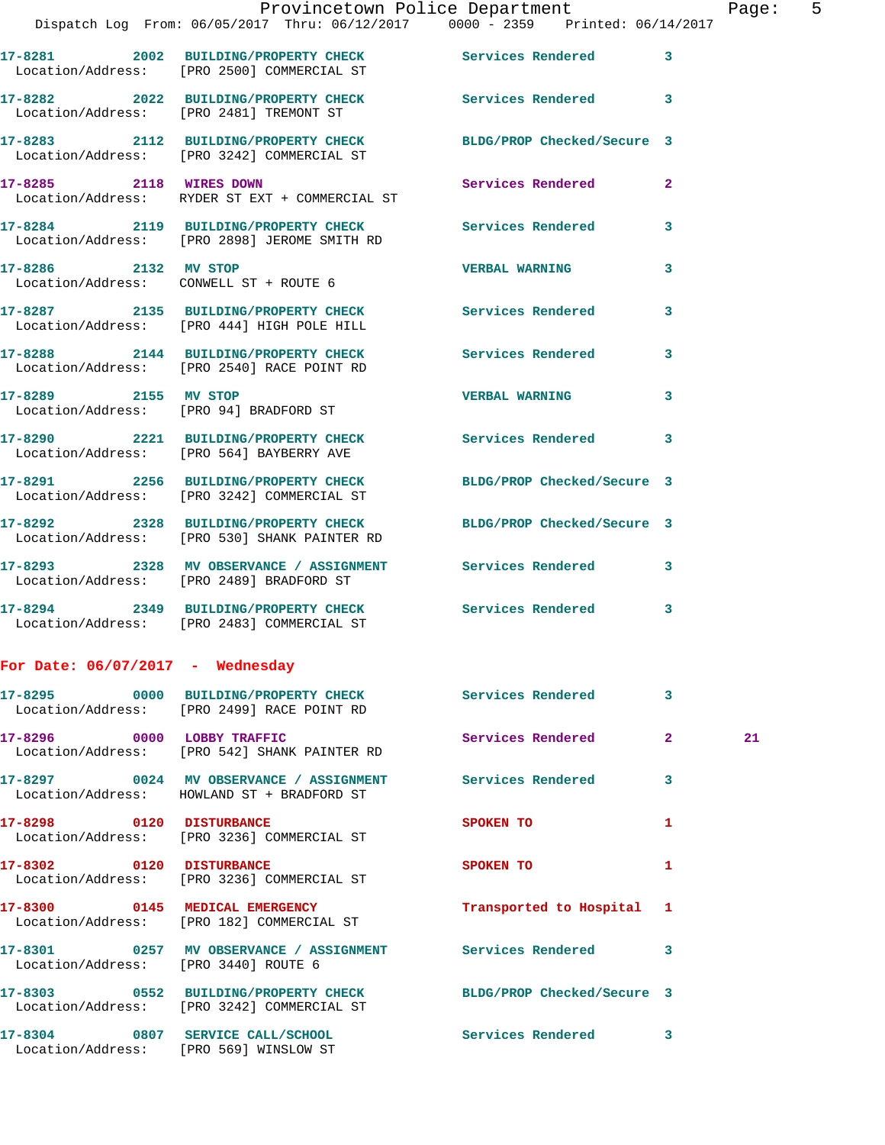|                                      | Dispatch Log From: 06/05/2017 Thru: 06/12/2017 0000 - 2359 Printed: 06/14/2017                                  | Provincetown Police Department |              | Page: 5 |  |
|--------------------------------------|-----------------------------------------------------------------------------------------------------------------|--------------------------------|--------------|---------|--|
|                                      | 17-8281 2002 BUILDING/PROPERTY CHECK Services Rendered 3<br>Location/Address: [PRO 2500] COMMERCIAL ST          |                                |              |         |  |
|                                      | 17-8282 2022 BUILDING/PROPERTY CHECK Services Rendered 3<br>Location/Address: [PRO 2481] TREMONT ST             |                                |              |         |  |
|                                      | 17-8283 2112 BUILDING/PROPERTY CHECK BLDG/PROP Checked/Secure 3<br>Location/Address: [PRO 3242] COMMERCIAL ST   |                                |              |         |  |
|                                      | 17-8285 2118 WIRES DOWN<br>Location/Address: RYDER ST EXT + COMMERCIAL ST                                       | Services Rendered 2            |              |         |  |
|                                      | 17-8284 2119 BUILDING/PROPERTY CHECK Services Rendered<br>Location/Address: [PRO 2898] JEROME SMITH RD          |                                | 3            |         |  |
| 17-8286 2132 MV STOP                 | Location/Address: CONWELL ST + ROUTE 6                                                                          | VERBAL WARNING                 | 3            |         |  |
|                                      | 17-8287 2135 BUILDING/PROPERTY CHECK Services Rendered<br>Location/Address: [PRO 444] HIGH POLE HILL            |                                | 3            |         |  |
|                                      | 17-8288 2144 BUILDING/PROPERTY CHECK Services Rendered 3<br>Location/Address: [PRO 2540] RACE POINT RD          |                                |              |         |  |
|                                      | 17-8289 2155 MV STOP<br>Location/Address: [PRO 94] BRADFORD ST                                                  | VERBAL WARNING 3               |              |         |  |
|                                      | 17-8290 2221 BUILDING/PROPERTY CHECK Services Rendered<br>Location/Address: [PRO 564] BAYBERRY AVE              |                                | 3            |         |  |
|                                      | 17-8291 2256 BUILDING/PROPERTY CHECK BLDG/PROP Checked/Secure 3<br>Location/Address: [PRO 3242] COMMERCIAL ST   |                                |              |         |  |
|                                      | 17-8292 2328 BUILDING/PROPERTY CHECK BLDG/PROP Checked/Secure 3<br>Location/Address: [PRO 530] SHANK PAINTER RD |                                |              |         |  |
|                                      | 17-8293 2328 MV OBSERVANCE / ASSIGNMENT Services Rendered 3<br>Location/Address: [PRO 2489] BRADFORD ST         |                                |              |         |  |
|                                      | 17-8294 2349 BUILDING/PROPERTY CHECK Services Rendered<br>Location/Address: [PRO 2483] COMMERCIAL ST            |                                | 3            |         |  |
| For Date: $06/07/2017$ - Wednesday   |                                                                                                                 |                                |              |         |  |
|                                      | 17-8295 0000 BUILDING/PROPERTY CHECK Services Rendered 3<br>Location/Address: [PRO 2499] RACE POINT RD          |                                |              |         |  |
|                                      | 17-8296 0000 LOBBY TRAFFIC<br>Location/Address: [PRO 542] SHANK PAINTER RD                                      | Services Rendered 2            |              | 21      |  |
|                                      | 17-8297 0024 MV OBSERVANCE / ASSIGNMENT Services Rendered 3<br>Location/Address: HOWLAND ST + BRADFORD ST       |                                |              |         |  |
| 17-8298 0120 DISTURBANCE             | Location/Address: [PRO 3236] COMMERCIAL ST                                                                      | SPOKEN TO                      | 1            |         |  |
| 17-8302 0120 DISTURBANCE             | Location/Address: [PRO 3236] COMMERCIAL ST                                                                      | SPOKEN TO                      | $\mathbf{1}$ |         |  |
|                                      | 17-8300 0145 MEDICAL EMERGENCY<br>Location/Address: [PRO 182] COMMERCIAL ST                                     | Transported to Hospital 1      |              |         |  |
| Location/Address: [PRO 3440] ROUTE 6 | 17-8301 0257 MV OBSERVANCE / ASSIGNMENT Services Rendered                                                       |                                | 3            |         |  |
|                                      | 17-8303 0552 BUILDING/PROPERTY CHECK BLDG/PROP Checked/Secure 3<br>Location/Address: [PRO 3242] COMMERCIAL ST   |                                |              |         |  |
|                                      | 17-8304 0807 SERVICE CALL/SCHOOL                                                                                | Services Rendered 3            |              |         |  |

Location/Address: [PRO 569] WINSLOW ST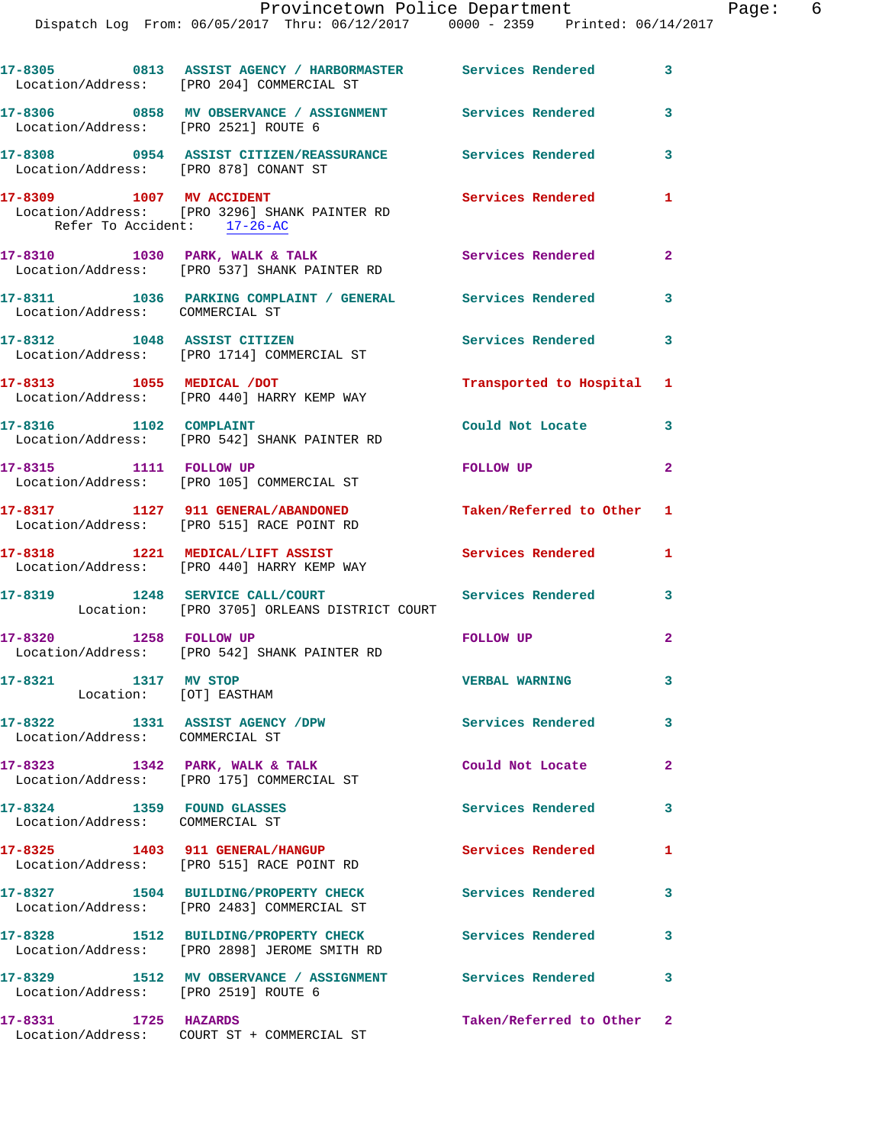|                                                                     | 17-8305 0813 ASSIST AGENCY / HARBORMASTER Services Rendered<br>Location/Address: [PRO 204] COMMERCIAL ST |                           | $\mathbf{3}$   |
|---------------------------------------------------------------------|----------------------------------------------------------------------------------------------------------|---------------------------|----------------|
| Location/Address: [PRO 2521] ROUTE 6                                | 17-8306 6858 MV OBSERVANCE / ASSIGNMENT Services Rendered 3                                              |                           |                |
|                                                                     | 17-8308 0954 ASSIST CITIZEN/REASSURANCE Services Rendered<br>Location/Address: [PRO 878] CONANT ST       |                           | 3              |
| 17-8309 1007 MV ACCIDENT<br>Refer To Accident: 17-26-AC             | Location/Address: [PRO 3296] SHANK PAINTER RD                                                            | <b>Services Rendered</b>  | 1              |
|                                                                     | 17-8310 1030 PARK, WALK & TALK<br>Location/Address: [PRO 537] SHANK PAINTER RD                           | Services Rendered         | $\mathbf{2}$   |
| Location/Address: COMMERCIAL ST                                     | 17-8311 1036 PARKING COMPLAINT / GENERAL Services Rendered                                               |                           | 3              |
|                                                                     | 17-8312 1048 ASSIST CITIZEN<br>Location/Address: [PRO 1714] COMMERCIAL ST                                | Services Rendered 3       |                |
|                                                                     | 17-8313 1055 MEDICAL / DOT<br>Location/Address: [PRO 440] HARRY KEMP WAY                                 | Transported to Hospital 1 |                |
| 17-8316 1102 COMPLAINT                                              | Location/Address: [PRO 542] SHANK PAINTER RD                                                             | Could Not Locate 3        |                |
| 17-8315 1111 FOLLOW UP                                              | Location/Address: [PRO 105] COMMERCIAL ST                                                                | FOLLOW UP                 | $\mathbf{2}$   |
|                                                                     | 17-8317 1127 911 GENERAL/ABANDONED<br>Location/Address: [PRO 515] RACE POINT RD                          | Taken/Referred to Other 1 |                |
|                                                                     | 17-8318 1221 MEDICAL/LIFT ASSIST<br>Location/Address: [PRO 440] HARRY KEMP WAY                           | <b>Services Rendered</b>  | 1              |
|                                                                     | 17-8319 1248 SERVICE CALL/COURT<br>Location: [PRO 3705] ORLEANS DISTRICT COURT                           | <b>Services Rendered</b>  | 3              |
|                                                                     | 17-8320 1258 FOLLOW UP<br>Location/Address: [PRO 542] SHANK PAINTER RD                                   | FOLLOW UP                 | $\mathbf{2}$   |
| 17-8321 1317 MV STOP<br>Location: [OT] EASTHAM                      |                                                                                                          | <b>VERBAL WARNING</b>     | 3              |
| 17-8322 1331 ASSIST AGENCY / DPW<br>Location/Address: COMMERCIAL ST |                                                                                                          | Services Rendered         | 3              |
|                                                                     | 17-8323 1342 PARK, WALK & TALK<br>Location/Address: [PRO 175] COMMERCIAL ST                              | Could Not Locate          | $\overline{2}$ |
| 17-8324 1359 FOUND GLASSES<br>Location/Address: COMMERCIAL ST       |                                                                                                          | Services Rendered         | 3              |
|                                                                     | 17-8325 1403 911 GENERAL/HANGUP<br>Location/Address: [PRO 515] RACE POINT RD                             | Services Rendered         | 1              |
|                                                                     | 17-8327 1504 BUILDING/PROPERTY CHECK<br>Location/Address: [PRO 2483] COMMERCIAL ST                       | Services Rendered         | 3              |
|                                                                     | 17-8328 1512 BUILDING/PROPERTY CHECK<br>Location/Address: [PRO 2898] JEROME SMITH RD                     | Services Rendered         | 3              |
| Location/Address: [PRO 2519] ROUTE 6                                | 17-8329 1512 MV OBSERVANCE / ASSIGNMENT Services Rendered                                                |                           | 3              |
| 17-8331 1725 HAZARDS                                                | Location/Address: COURT ST + COMMERCIAL ST                                                               | Taken/Referred to Other 2 |                |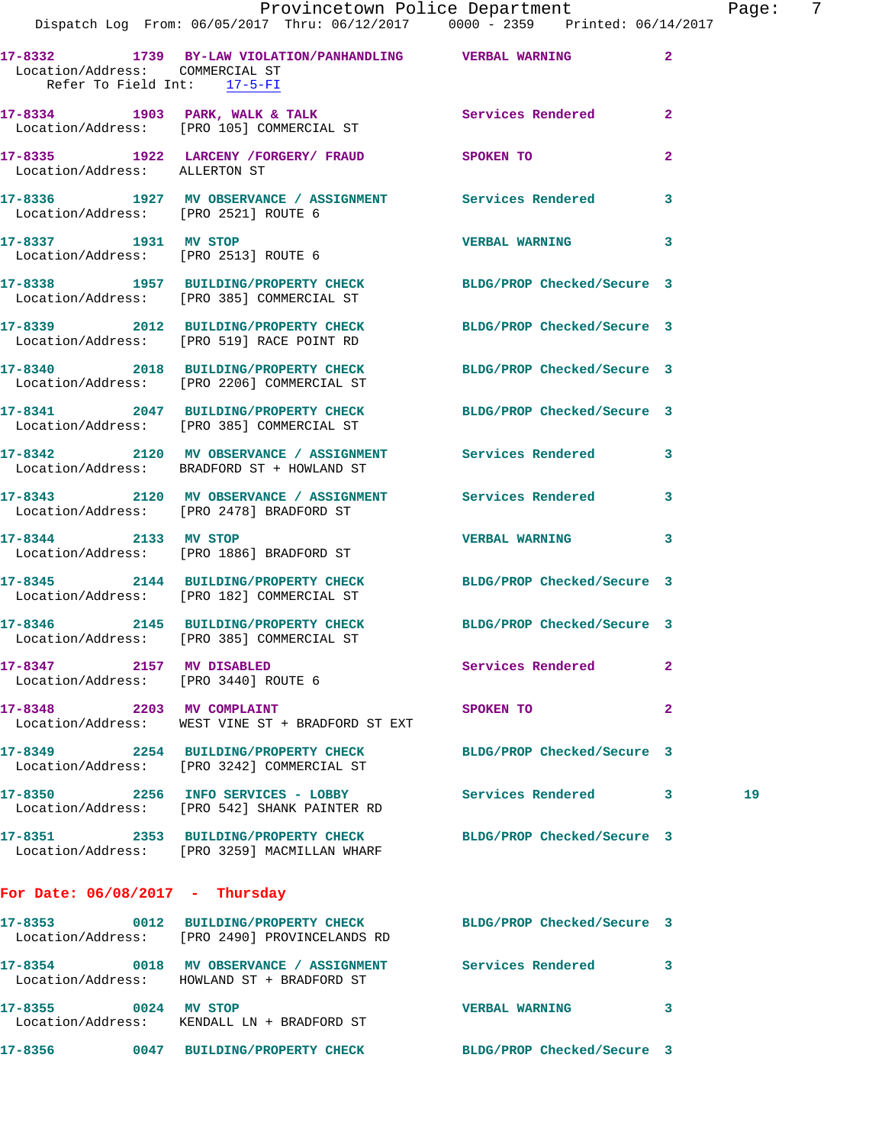| Location/Address: COMMERCIAL ST   | 17-8332 1739 BY-LAW VIOLATION/PANHANDLING VERBAL WARNING<br>Refer To Field Int: 17-5-FI                       |                            | $\overline{a}$ |    |
|-----------------------------------|---------------------------------------------------------------------------------------------------------------|----------------------------|----------------|----|
|                                   | 17-8334 1903 PARK, WALK & TALK<br>Location/Address: [PRO 105] COMMERCIAL ST                                   | Services Rendered          | $\overline{2}$ |    |
| Location/Address: ALLERTON ST     | 17-8335 1922 LARCENY /FORGERY / FRAUD SPOKEN TO                                                               |                            | $\mathbf{2}$   |    |
|                                   | 17-8336 1927 MV OBSERVANCE / ASSIGNMENT Services Rendered<br>Location/Address: [PRO 2521] ROUTE 6             |                            | 3              |    |
| 17-8337 1931 MV STOP              | Location/Address: [PRO 2513] ROUTE 6                                                                          | <b>VERBAL WARNING</b>      | 3              |    |
|                                   | 17-8338 1957 BUILDING/PROPERTY CHECK BLDG/PROP Checked/Secure 3<br>Location/Address: [PRO 385] COMMERCIAL ST  |                            |                |    |
|                                   | 17-8339 2012 BUILDING/PROPERTY CHECK<br>Location/Address: [PRO 519] RACE POINT RD                             | BLDG/PROP Checked/Secure 3 |                |    |
|                                   | 17-8340 2018 BUILDING/PROPERTY CHECK<br>Location/Address: [PRO 2206] COMMERCIAL ST                            | BLDG/PROP Checked/Secure 3 |                |    |
|                                   | 17-8341 2047 BUILDING/PROPERTY CHECK BLDG/PROP Checked/Secure 3<br>Location/Address: [PRO 385] COMMERCIAL ST  |                            |                |    |
|                                   | 17-8342 2120 MV OBSERVANCE / ASSIGNMENT Services Rendered<br>Location/Address: BRADFORD ST + HOWLAND ST       |                            | 3              |    |
|                                   | 17-8343 2120 MV OBSERVANCE / ASSIGNMENT Services Rendered<br>Location/Address: [PRO 2478] BRADFORD ST         |                            | 3              |    |
| 17-8344 2133 MV STOP              | Location/Address: [PRO 1886] BRADFORD ST                                                                      | <b>VERBAL WARNING</b>      | 3              |    |
|                                   | 17-8345 2144 BUILDING/PROPERTY CHECK BLDG/PROP Checked/Secure 3<br>Location/Address: [PRO 182] COMMERCIAL ST  |                            |                |    |
|                                   | 17-8346 2145 BUILDING/PROPERTY CHECK BLDG/PROP Checked/Secure 3<br>Location/Address: [PRO 385] COMMERCIAL ST  |                            |                |    |
|                                   | 17-8347 2157 MV DISABLED<br>Location/Address: [PRO 3440] ROUTE 6                                              | Services Rendered          | 2              |    |
| 17-8348 2203 MV COMPLAINT         | Location/Address: WEST VINE ST + BRADFORD ST EXT                                                              | SPOKEN TO                  | $\mathbf{2}$   |    |
|                                   | 17-8349 2254 BUILDING/PROPERTY CHECK BLDG/PROP Checked/Secure 3<br>Location/Address: [PRO 3242] COMMERCIAL ST |                            |                |    |
|                                   | 17-8350 2256 INFO SERVICES - LOBBY<br>Location/Address: [PRO 542] SHANK PAINTER RD                            | <b>Services Rendered</b> 3 |                | 19 |
|                                   | 17-8351 2353 BUILDING/PROPERTY CHECK<br>Location/Address: [PRO 3259] MACMILLAN WHARF                          | BLDG/PROP Checked/Secure 3 |                |    |
| For Date: $06/08/2017$ - Thursday |                                                                                                               |                            |                |    |
|                                   | 17-8353 0012 BUILDING/PROPERTY CHECK<br>Location/Address: [PRO 2490] PROVINCELANDS RD                         | BLDG/PROP Checked/Secure 3 |                |    |
|                                   | 17-8354 0018 MV OBSERVANCE / ASSIGNMENT Services Rendered<br>Location/Address: HOWLAND ST + BRADFORD ST       |                            | 3              |    |
| 17-8355 0024 MV STOP              |                                                                                                               | <b>VERBAL WARNING</b>      | 3              |    |

**17-8356 0047 BUILDING/PROPERTY CHECK BLDG/PROP Checked/Secure 3** 

Location/Address: KENDALL LN + BRADFORD ST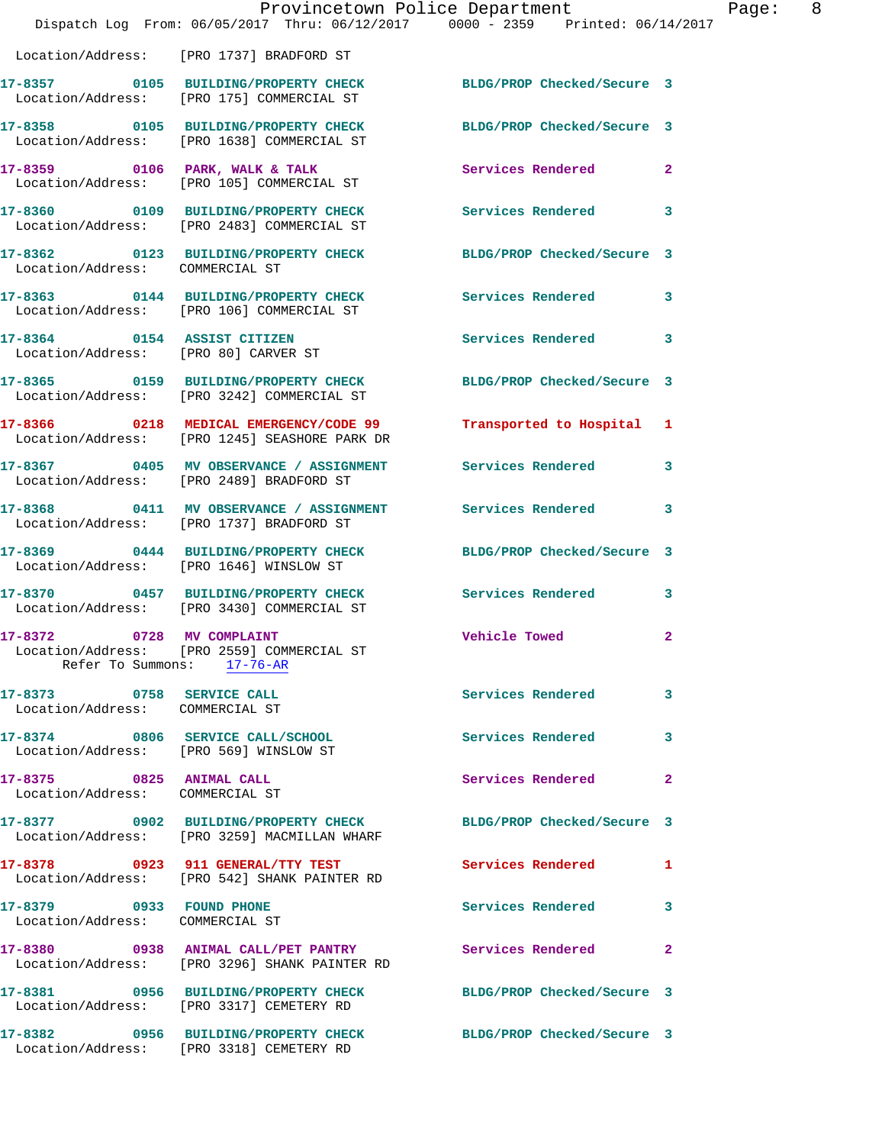|                                                                     | Dispatch Log From: 06/05/2017 Thru: 06/12/2017 0000 - 2359 Printed: 06/14/2017                                  | Provincetown Police Department | Page: 8        |
|---------------------------------------------------------------------|-----------------------------------------------------------------------------------------------------------------|--------------------------------|----------------|
|                                                                     | Location/Address: [PRO 1737] BRADFORD ST                                                                        |                                |                |
|                                                                     | 17-8357 0105 BUILDING/PROPERTY CHECK BLDG/PROP Checked/Secure 3<br>Location/Address: [PRO 175] COMMERCIAL ST    |                                |                |
|                                                                     | 17-8358 0105 BUILDING/PROPERTY CHECK<br>Location/Address: [PRO 1638] COMMERCIAL ST                              | BLDG/PROP Checked/Secure 3     |                |
|                                                                     | 17-8359 0106 PARK, WALK & TALK<br>Location/Address: [PRO 105] COMMERCIAL ST                                     | Services Rendered              | $\overline{2}$ |
|                                                                     | 17-8360 0109 BUILDING/PROPERTY CHECK<br>Location/Address: [PRO 2483] COMMERCIAL ST                              | Services Rendered              | 3              |
| Location/Address: COMMERCIAL ST                                     | 17-8362 0123 BUILDING/PROPERTY CHECK BLDG/PROP Checked/Secure 3                                                 |                                |                |
|                                                                     | 17-8363 0144 BUILDING/PROPERTY CHECK<br>Location/Address: [PRO 106] COMMERCIAL ST                               | Services Rendered              | 3              |
| 17-8364 0154 ASSIST CITIZEN<br>Location/Address: [PRO 80] CARVER ST |                                                                                                                 | Services Rendered              | 3              |
|                                                                     | 17-8365 0159 BUILDING/PROPERTY CHECK BLDG/PROP Checked/Secure 3<br>Location/Address: [PRO 3242] COMMERCIAL ST   |                                |                |
|                                                                     | 17-8366 0218 MEDICAL EMERGENCY/CODE 99<br>Location/Address: [PRO 1245] SEASHORE PARK DR                         | Transported to Hospital 1      |                |
|                                                                     | 17-8367 6405 MV OBSERVANCE / ASSIGNMENT Services Rendered<br>Location/Address: [PRO 2489] BRADFORD ST           |                                | 3              |
|                                                                     | 17-8368 0411 MV OBSERVANCE / ASSIGNMENT Services Rendered<br>Location/Address: [PRO 1737] BRADFORD ST           |                                | 3              |
|                                                                     | 17-8369 0444 BUILDING/PROPERTY CHECK BLDG/PROP Checked/Secure 3<br>Location/Address: [PRO 1646] WINSLOW ST      |                                |                |
|                                                                     | 17-8370 0457 BUILDING/PROPERTY CHECK<br>Location/Address: [PRO 3430] COMMERCIAL ST                              | Services Rendered              | 3              |
| 17-8372                                                             | 0728 MV COMPLAINT<br>Location/Address: [PRO 2559] COMMERCIAL ST<br>Refer To Summons: 17-76-AR                   | Vehicle Towed                  | $\mathbf{2}$   |
| 17-8373 0758 SERVICE CALL<br>Location/Address: COMMERCIAL ST        |                                                                                                                 | Services Rendered              | 3              |
| Location/Address: [PRO 569] WINSLOW ST                              | 17-8374 0806 SERVICE CALL/SCHOOL                                                                                | Services Rendered              | 3              |
| 17-8375 0825 ANIMAL CALL<br>Location/Address: COMMERCIAL ST         |                                                                                                                 | Services Rendered              | $\mathbf{2}$   |
|                                                                     | 17-8377 0902 BUILDING/PROPERTY CHECK BLDG/PROP Checked/Secure 3<br>Location/Address: [PRO 3259] MACMILLAN WHARF |                                |                |
|                                                                     | 17-8378 0923 911 GENERAL/TTY TEST Services Rendered<br>Location/Address: [PRO 542] SHANK PAINTER RD             |                                | $\mathbf{1}$   |
| 17-8379 0933 FOUND PHONE<br>Location/Address: COMMERCIAL ST         |                                                                                                                 | Services Rendered              | 3              |
|                                                                     | 17-8380 6938 ANIMAL CALL/PET PANTRY Services Rendered<br>Location/Address: [PRO 3296] SHANK PAINTER RD          |                                | $\mathbf{2}$   |
|                                                                     | 17-8381 0956 BUILDING/PROPERTY CHECK BLDG/PROP Checked/Secure 3<br>Location/Address: [PRO 3317] CEMETERY RD     |                                |                |
|                                                                     | 17-8382 0956 BUILDING/PROPERTY CHECK BLDG/PROP Checked/Secure 3<br>Location/Address: [PRO 3318] CEMETERY RD     |                                |                |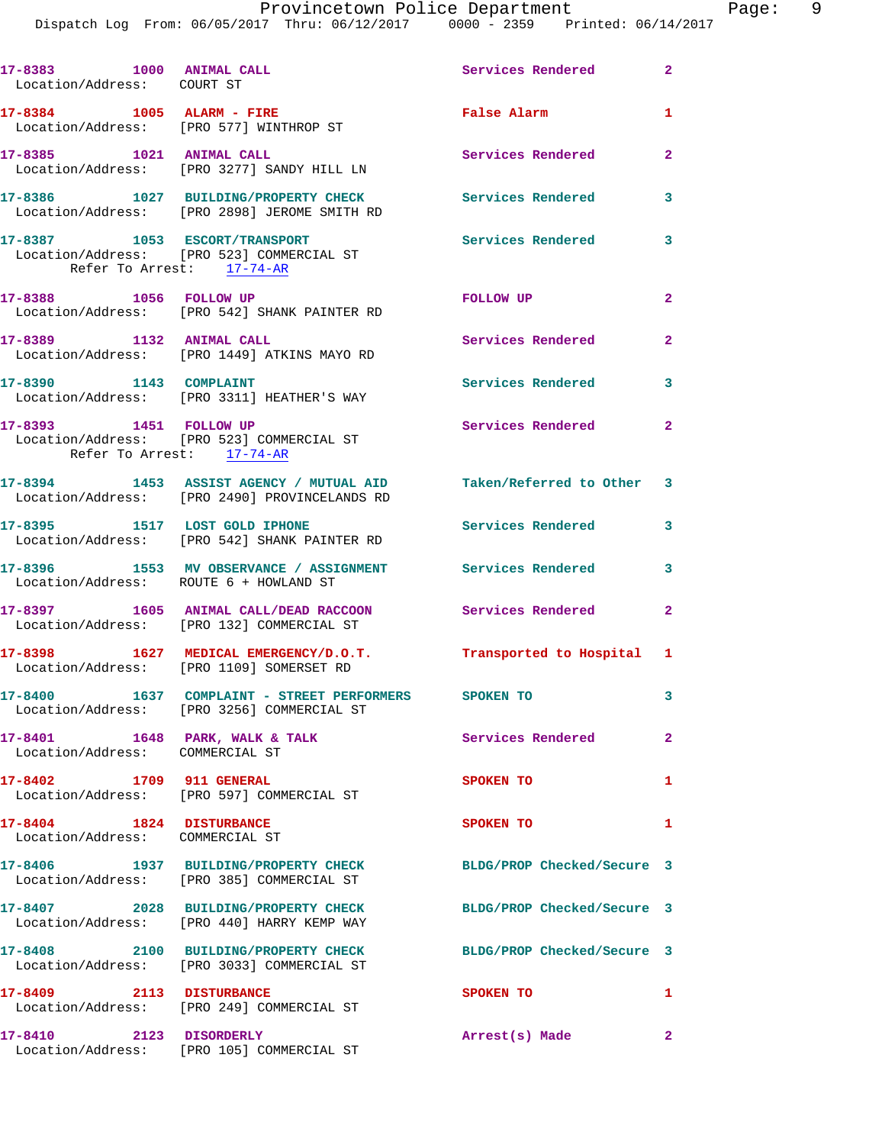| 17-8383 1000 ANIMAL CALL<br>Location/Address: COURT ST            |                                                                                                                    | Services Rendered          | $\overline{\mathbf{2}}$ |
|-------------------------------------------------------------------|--------------------------------------------------------------------------------------------------------------------|----------------------------|-------------------------|
| $17-8384$ 1005 ALARM - FIRE                                       | Location/Address: [PRO 577] WINTHROP ST                                                                            | False Alarm                | $\mathbf{1}$            |
| 17-8385 1021 ANIMAL CALL                                          | Location/Address: [PRO 3277] SANDY HILL LN                                                                         | <b>Services Rendered</b>   | $\mathbf{2}$            |
|                                                                   | 17-8386 1027 BUILDING/PROPERTY CHECK<br>Location/Address: [PRO 2898] JEROME SMITH RD                               | Services Rendered          | 3                       |
| Refer To Arrest: 17-74-AR                                         | 17-8387 1053 ESCORT/TRANSPORT<br>Location/Address: [PRO 523] COMMERCIAL ST                                         | <b>Services Rendered</b>   | 3                       |
| 17-8388 1056 FOLLOW UP                                            | Location/Address: [PRO 542] SHANK PAINTER RD                                                                       | FOLLOW UP                  | $\mathbf{2}$            |
| 17-8389 1132 ANIMAL CALL                                          | Location/Address: [PRO 1449] ATKINS MAYO RD                                                                        | <b>Services Rendered</b>   | $\overline{2}$          |
| 17-8390 1143 COMPLAINT                                            | Location/Address: [PRO 3311] HEATHER'S WAY                                                                         | <b>Services Rendered</b>   | 3                       |
| 17-8393 1451 FOLLOW UP<br>Refer To Arrest: 17-74-AR               | Location/Address: [PRO 523] COMMERCIAL ST                                                                          | Services Rendered          | $\overline{2}$          |
|                                                                   | 17-8394 1453 ASSIST AGENCY / MUTUAL AID Taken/Referred to Other 3<br>Location/Address: [PRO 2490] PROVINCELANDS RD |                            |                         |
| 17-8395 1517 LOST GOLD IPHONE                                     | Location/Address: [PRO 542] SHANK PAINTER RD                                                                       | Services Rendered 3        |                         |
| Location/Address: ROUTE 6 + HOWLAND ST                            | 17-8396 1553 MV OBSERVANCE / ASSIGNMENT Services Rendered                                                          |                            | 3                       |
|                                                                   | 17-8397 1605 ANIMAL CALL/DEAD RACCOON<br>Location/Address: [PRO 132] COMMERCIAL ST                                 | Services Rendered 2        |                         |
|                                                                   | 17-8398 1627 MEDICAL EMERGENCY/D.O.T. Transported to Hospital 1<br>Location/Address: [PRO 1109] SOMERSET RD        |                            |                         |
|                                                                   | 17-8400  1637  COMPLAINT - STREET PERFORMERS  SPOKEN TO<br>Location/Address: [PRO 3256] COMMERCIAL ST              |                            |                         |
| 17-8401 1648 PARK, WALK & TALK<br>Location/Address: COMMERCIAL ST |                                                                                                                    | Services Rendered 2        |                         |
| 17-8402 1709 911 GENERAL                                          | Location/Address: [PRO 597] COMMERCIAL ST                                                                          | <b>SPOKEN TO</b>           | $\mathbf{1}$            |
| 17-8404 1824 DISTURBANCE<br>Location/Address: COMMERCIAL ST       |                                                                                                                    | <b>SPOKEN TO</b>           | 1                       |
|                                                                   | 17-8406 1937 BUILDING/PROPERTY CHECK<br>Location/Address: [PRO 385] COMMERCIAL ST                                  | BLDG/PROP Checked/Secure 3 |                         |
|                                                                   | 17-8407 2028 BUILDING/PROPERTY CHECK<br>Location/Address: [PRO 440] HARRY KEMP WAY                                 | BLDG/PROP Checked/Secure 3 |                         |
|                                                                   | 17-8408 2100 BUILDING/PROPERTY CHECK<br>Location/Address: [PRO 3033] COMMERCIAL ST                                 | BLDG/PROP Checked/Secure 3 |                         |
| 17-8409 2113 DISTURBANCE                                          | Location/Address: [PRO 249] COMMERCIAL ST                                                                          | SPOKEN TO                  | 1                       |
| 17-8410 2123 DISORDERLY                                           | Location/Address: [PRO 105] COMMERCIAL ST                                                                          | Arrest(s) Made             | $\mathbf{2}$            |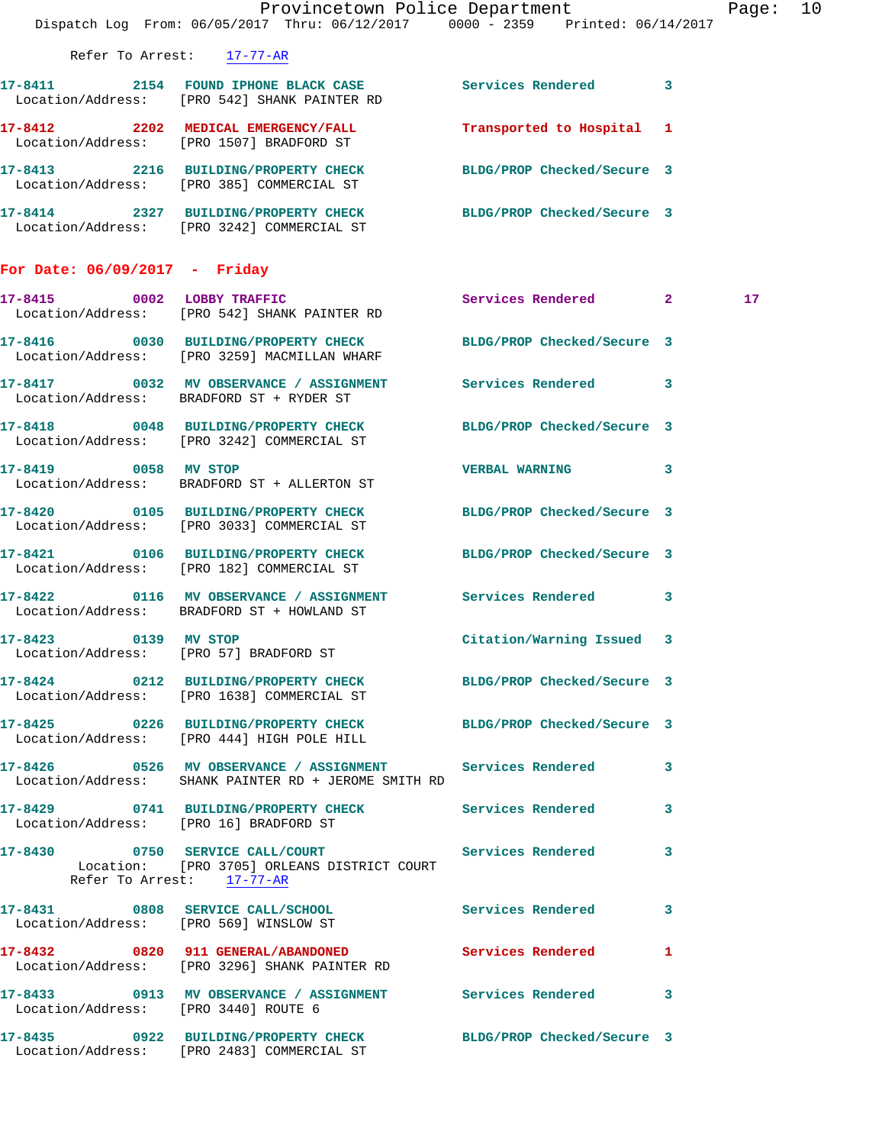|                                                                | Provincetown Police Department<br>Dispatch Log From: 06/05/2017 Thru: 06/12/2017 0000 - 2359 Printed: 06/14/2017       |                           | Page: 10        |  |
|----------------------------------------------------------------|------------------------------------------------------------------------------------------------------------------------|---------------------------|-----------------|--|
| Refer To Arrest: 17-77-AR                                      |                                                                                                                        |                           |                 |  |
|                                                                | 17-8411 2154 FOUND IPHONE BLACK CASE Services Rendered 3<br>Location/Address: [PRO 542] SHANK PAINTER RD               |                           |                 |  |
|                                                                | 17-8412 2202 MEDICAL EMERGENCY/FALL 7ransported to Hospital 1<br>Location/Address: [PRO 1507] BRADFORD ST              |                           |                 |  |
|                                                                | 17-8413 2216 BUILDING/PROPERTY CHECK BLDG/PROP Checked/Secure 3<br>Location/Address: [PRO 385] COMMERCIAL ST           |                           |                 |  |
|                                                                | 17-8414 2327 BUILDING/PROPERTY CHECK BLDG/PROP Checked/Secure 3<br>Location/Address: [PRO 3242] COMMERCIAL ST          |                           |                 |  |
| For Date: 06/09/2017 - Friday                                  |                                                                                                                        |                           |                 |  |
|                                                                | 17-8415 0002 LOBBY TRAFFIC Services Rendered 2<br>Location/Address: [PRO 542] SHANK PAINTER RD                         |                           | 17 <sub>1</sub> |  |
|                                                                | 17-8416 0030 BUILDING/PROPERTY CHECK BLDG/PROP Checked/Secure 3<br>Location/Address: [PRO 3259] MACMILLAN WHARF        |                           |                 |  |
|                                                                | 17-8417 0032 MV OBSERVANCE / ASSIGNMENT Services Rendered 3<br>Location/Address: BRADFORD ST + RYDER ST                |                           |                 |  |
|                                                                | 17-8418 0048 BUILDING/PROPERTY CHECK BLDG/PROP Checked/Secure 3<br>Location/Address: [PRO 3242] COMMERCIAL ST          |                           |                 |  |
| 17-8419 0058 MV STOP                                           | Location/Address: BRADFORD ST + ALLERTON ST                                                                            | VERBAL WARNING 3          |                 |  |
|                                                                | 17-8420 0105 BUILDING/PROPERTY CHECK BLDG/PROP Checked/Secure 3<br>Location/Address: [PRO 3033] COMMERCIAL ST          |                           |                 |  |
|                                                                | 17-8421 0106 BUILDING/PROPERTY CHECK BLDG/PROP Checked/Secure 3<br>Location/Address: [PRO 182] COMMERCIAL ST           |                           |                 |  |
|                                                                | 17-8422 0116 MV OBSERVANCE / ASSIGNMENT Services Rendered 3<br>Location/Address: BRADFORD ST + HOWLAND ST              |                           |                 |  |
| 17-8423 0139 MV STOP<br>Location/Address: [PRO 57] BRADFORD ST |                                                                                                                        | Citation/Warning Issued 3 |                 |  |
|                                                                | 17-8424 0212 BUILDING/PROPERTY CHECK BLDG/PROP Checked/Secure 3<br>Location/Address: [PRO 1638] COMMERCIAL ST          |                           |                 |  |
|                                                                | 17-8425 0226 BUILDING/PROPERTY CHECK BLDG/PROP Checked/Secure 3<br>Location/Address: [PRO 444] HIGH POLE HILL          |                           |                 |  |
|                                                                | 17-8426 		 0526 MV OBSERVANCE / ASSIGNMENT Services Rendered 3<br>Location/Address: SHANK PAINTER RD + JEROME SMITH RD |                           |                 |  |
|                                                                | 17-8429 0741 BUILDING/PROPERTY CHECK Services Rendered 3<br>Location/Address: [PRO 16] BRADFORD ST                     |                           |                 |  |
| Refer To Arrest: 17-77-AR                                      | 17-8430 0750 SERVICE CALL/COURT Services Rendered 3<br>Location: [PRO 3705] ORLEANS DISTRICT COURT                     |                           |                 |  |
|                                                                | 17-8431 0808 SERVICE CALL/SCHOOL 5ervices Rendered 3<br>Location/Address: [PRO 569] WINSLOW ST                         |                           |                 |  |
|                                                                | 17-8432 0820 911 GENERAL/ABANDONED Services Rendered 1<br>Location/Address: [PRO 3296] SHANK PAINTER RD                |                           |                 |  |
| Location/Address: [PRO 3440] ROUTE 6                           | 17-8433 0913 MV OBSERVANCE / ASSIGNMENT Services Rendered 3                                                            |                           |                 |  |
|                                                                | 17-8435 0922 BUILDING/PROPERTY CHECK BLDG/PROP Checked/Secure 3<br>Location/Address: [PRO 2483] COMMERCIAL ST          |                           |                 |  |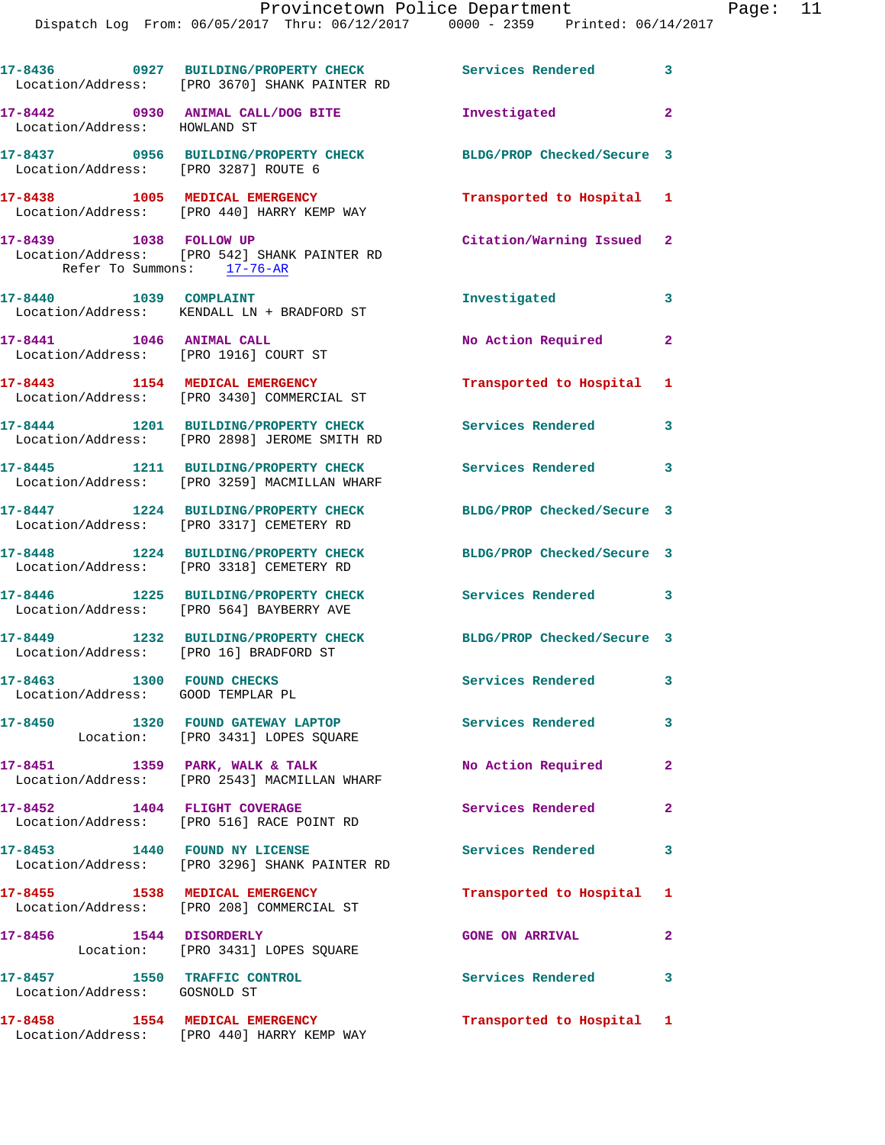|                              | 17-8436  0927 BUILDING/PROPERTY CHECK Services Rendered<br>Location/Address: [PRO 3670] SHANK PAINTER RD |                            | 3                       |
|------------------------------|----------------------------------------------------------------------------------------------------------|----------------------------|-------------------------|
| Location/Address: HOWLAND ST | 17-8442 0930 ANIMAL CALL/DOG BITE                                                                        | Investigated               | $\mathbf{2}$            |
|                              | 17-8437 0956 BUILDING/PROPERTY CHECK<br>Location/Address: [PRO 3287] ROUTE 6                             | BLDG/PROP Checked/Secure 3 |                         |
|                              | 17-8438 1005 MEDICAL EMERGENCY<br>Location/Address: [PRO 440] HARRY KEMP WAY                             | Transported to Hospital 1  |                         |
| 17-8439    1038    FOLLOW UP | Location/Address: [PRO 542] SHANK PAINTER RD<br>Refer To Summons: 17-76-AR                               | Citation/Warning Issued 2  |                         |
|                              | 17-8440 1039 COMPLAINT<br>Location/Address: KENDALL LN + BRADFORD ST                                     | Investigated               | 3                       |
| 17-8441 1046 ANIMAL CALL     | Location/Address: [PRO 1916] COURT ST                                                                    | No Action Required 2       |                         |
|                              | 17-8443 1154 MEDICAL EMERGENCY<br>Location/Address: [PRO 3430] COMMERCIAL ST                             | Transported to Hospital 1  |                         |
|                              | 17-8444 1201 BUILDING/PROPERTY CHECK<br>Location/Address: [PRO 2898] JEROME SMITH RD                     | Services Rendered          | 3                       |
|                              | 17-8445 1211 BUILDING/PROPERTY CHECK<br>Location/Address: [PRO 3259] MACMILLAN WHARF                     | <b>Services Rendered</b>   | $\overline{\mathbf{3}}$ |
|                              | 17-8447 1224 BUILDING/PROPERTY CHECK<br>Location/Address: [PRO 3317] CEMETERY RD                         | BLDG/PROP Checked/Secure 3 |                         |
|                              | 17-8448 1224 BUILDING/PROPERTY CHECK<br>Location/Address: [PRO 3318] CEMETERY RD                         | BLDG/PROP Checked/Secure 3 |                         |
|                              | 17-8446 1225 BUILDING/PROPERTY CHECK<br>Location/Address: [PRO 564] BAYBERRY AVE                         | <b>Services Rendered</b>   | 3                       |
|                              | 17-8449 1232 BUILDING/PROPERTY CHECK<br>Location/Address: [PRO 16] BRADFORD ST                           | BLDG/PROP Checked/Secure 3 |                         |
| 17-8463                      | 1300 FOUND CHECKS<br>Location/Address: GOOD TEMPLAR PL                                                   | Services Rendered          | 3                       |
|                              | 17-8450 1320 FOUND GATEWAY LAPTOP<br>Location: [PRO 3431] LOPES SQUARE                                   | Services Rendered          | 3                       |
|                              | 17-8451 1359 PARK, WALK & TALK<br>Location/Address: [PRO 2543] MACMILLAN WHARF                           | No Action Required         | $\mathbf{2}$            |
|                              | 17-8452 1404 FLIGHT COVERAGE<br>Location/Address: [PRO 516] RACE POINT RD                                | Services Rendered          | $\mathbf{2}$            |
|                              | 17-8453 1440 FOUND NY LICENSE<br>Location/Address: [PRO 3296] SHANK PAINTER RD                           | <b>Services Rendered</b>   | 3                       |
|                              | 17-8455 1538 MEDICAL EMERGENCY<br>Location/Address: [PRO 208] COMMERCIAL ST                              | Transported to Hospital 1  |                         |
| 17-8456 1544 DISORDERLY      | Location: [PRO 3431] LOPES SQUARE                                                                        | <b>GONE ON ARRIVAL</b>     | $\mathbf{2}$            |
| Location/Address: GOSNOLD ST | 17-8457 1550 TRAFFIC CONTROL                                                                             | Services Rendered 3        |                         |
|                              | 17-8458 1554 MEDICAL EMERGENCY                                                                           | Transported to Hospital 1  |                         |

Location/Address: [PRO 440] HARRY KEMP WAY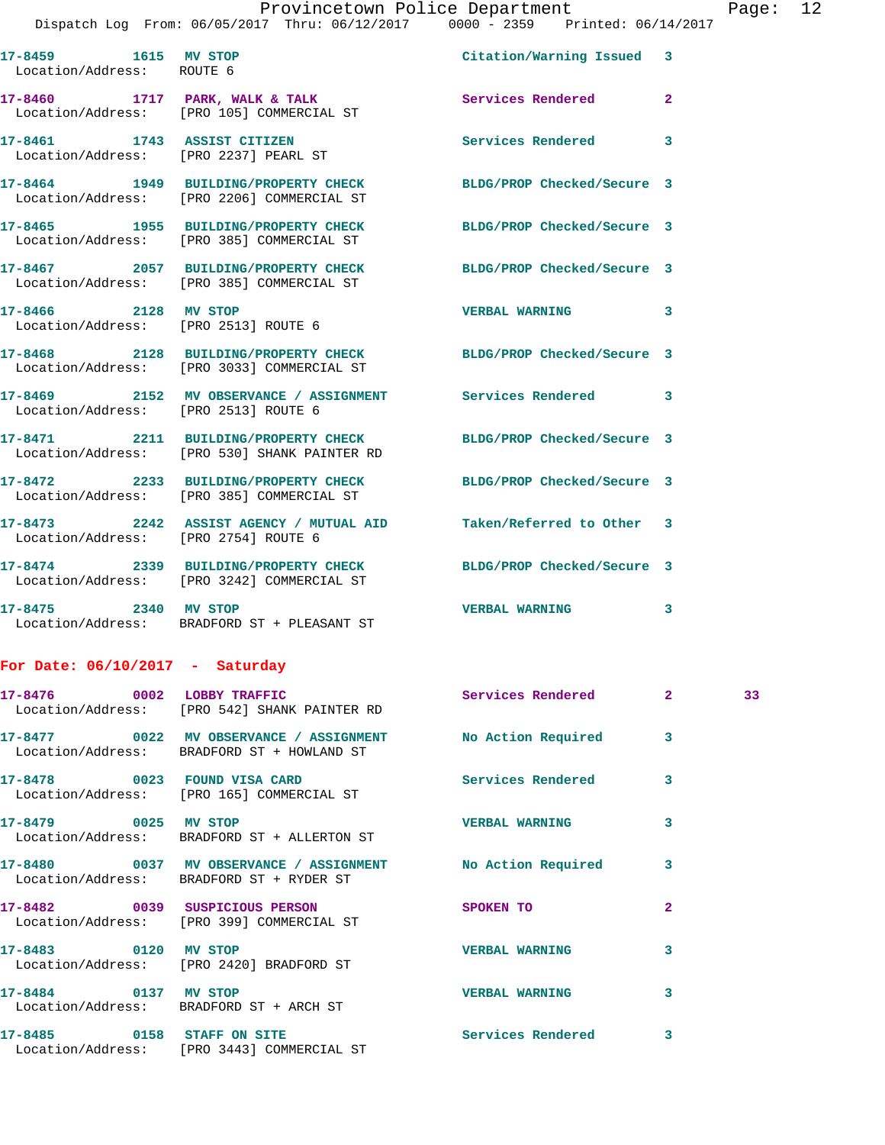## Provincetown Police Department Fage: 12

| 17-8459           | 1615 MV STOP | Citation/Warning Issued |  |
|-------------------|--------------|-------------------------|--|
| Location/Address: | ROUTE 6      |                         |  |

**17-8460 1717 PARK, WALK & TALK Services Rendered 2**  Location/Address: [PRO 105] COMMERCIAL ST

**17-8461 1743 ASSIST CITIZEN Services Rendered 3**  Location/Address: [PRO 2237] PEARL ST

**17-8464 1949 BUILDING/PROPERTY CHECK BLDG/PROP Checked/Secure 3**  Location/Address: [PRO 2206] COMMERCIAL ST

**17-8465 1955 BUILDING/PROPERTY CHECK BLDG/PROP Checked/Secure 3**  Location/Address: [PRO 385] COMMERCIAL ST

**17-8467 2057 BUILDING/PROPERTY CHECK BLDG/PROP Checked/Secure 3**  Location/Address: [PRO 385] COMMERCIAL ST

**17-8466 2128 MV STOP VERBAL WARNING 3**  Location/Address: [PRO 2513] ROUTE 6

**17-8468 2128 BUILDING/PROPERTY CHECK BLDG/PROP Checked/Secure 3**  Location/Address: [PRO 3033] COMMERCIAL ST

**17-8469 2152 MV OBSERVANCE / ASSIGNMENT Services Rendered 3**  Location/Address: [PRO 2513] ROUTE 6

**17-8471 2211 BUILDING/PROPERTY CHECK BLDG/PROP Checked/Secure 3**  Location/Address: [PRO 530] SHANK PAINTER RD

**17-8472 2233 BUILDING/PROPERTY CHECK BLDG/PROP Checked/Secure 3**  Location/Address: [PRO 385] COMMERCIAL ST

**17-8473 2242 ASSIST AGENCY / MUTUAL AID Taken/Referred to Other 3**  Location/Address: [PRO 2754] ROUTE 6

**17-8474 2339 BUILDING/PROPERTY CHECK BLDG/PROP Checked/Secure 3** 

Location/Address: [PRO 3242] COMMERCIAL ST

**17-8475 2340 MV STOP VERBAL WARNING 3**  Location/Address: BRADFORD ST + PLEASANT ST

## **For Date: 06/10/2017 - Saturday**

|                      | Location/Address: [PRO 542] SHANK PAINTER RD                                                               |                       |                | 33 |
|----------------------|------------------------------------------------------------------------------------------------------------|-----------------------|----------------|----|
|                      | 17-8477 0022 MV OBSERVANCE / ASSIGNMENT No Action Required 3<br>Location/Address: BRADFORD ST + HOWLAND ST |                       |                |    |
|                      | Location/Address: [PRO 165] COMMERCIAL ST                                                                  |                       | 3              |    |
| 17-8479 0025 MV STOP | Location/Address: BRADFORD ST + ALLERTON ST                                                                | <b>VERBAL WARNING</b> | 3              |    |
|                      | 17-8480 0037 MV OBSERVANCE / ASSIGNMENT No Action Required<br>Location/Address: BRADFORD ST + RYDER ST     |                       | 3              |    |
|                      | 17-8482 0039 SUSPICIOUS PERSON<br>Location/Address: [PRO 399] COMMERCIAL ST                                | <b>SPOKEN TO</b>      | $\overline{2}$ |    |
| 17-8483 0120 MV STOP | Location/Address: [PRO 2420] BRADFORD ST                                                                   | <b>VERBAL WARNING</b> | 3              |    |
| 17-8484 0137 MV STOP | Location/Address: BRADFORD ST + ARCH ST                                                                    | <b>VERBAL WARNING</b> | 3              |    |

**17-8485 0158 STAFF ON SITE Services Rendered 3**  Location/Address: [PRO 3443] COMMERCIAL ST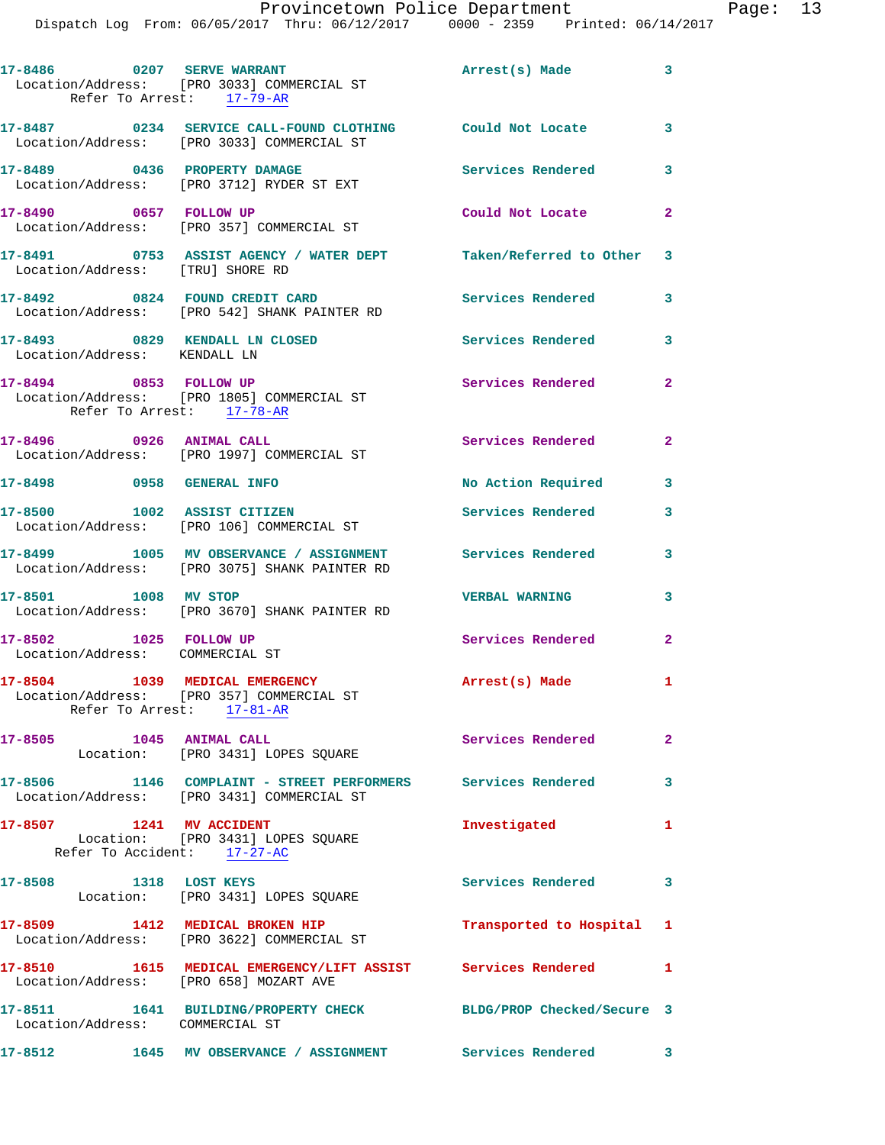|                                                           | 17-8486 0207 SERVE WARRANT<br>Location/Address: [PRO 3033] COMMERCIAL ST<br>Refer To Arrest: 17-79-AR                | Arrest(s) Made             | $\overline{\phantom{a}}$ 3 |
|-----------------------------------------------------------|----------------------------------------------------------------------------------------------------------------------|----------------------------|----------------------------|
|                                                           | 17-8487 0234 SERVICE CALL-FOUND CLOTHING Could Not Locate 3<br>Location/Address: [PRO 3033] COMMERCIAL ST            |                            |                            |
|                                                           | 17-8489 0436 PROPERTY DAMAGE<br>Location/Address: [PRO 3712] RYDER ST EXT                                            | Services Rendered          | 3                          |
| 17-8490 0657 FOLLOW UP                                    | Location/Address: [PRO 357] COMMERCIAL ST                                                                            | Could Not Locate           | $\mathbf{2}$               |
| Location/Address: [TRU] SHORE RD                          | 17-8491 0753 ASSIST AGENCY / WATER DEPT Taken/Referred to Other 3                                                    |                            |                            |
|                                                           | 17-8492 0824 FOUND CREDIT CARD<br>Location/Address: [PRO 542] SHANK PAINTER RD                                       | <b>Services Rendered</b>   | $\mathbf{3}$               |
| Location/Address: KENDALL LN                              | 17-8493 0829 KENDALL LN CLOSED                                                                                       | Services Rendered 3        |                            |
| Refer To Arrest: 17-78-AR                                 | 17-8494 0853 FOLLOW UP<br>Location/Address: [PRO 1805] COMMERCIAL ST                                                 | Services Rendered          | $\mathbf{2}$               |
| 17-8496 0926 ANIMAL CALL                                  | Location/Address: [PRO 1997] COMMERCIAL ST                                                                           | Services Rendered 2        |                            |
| 17-8498 0958 GENERAL INFO                                 |                                                                                                                      | No Action Required         | 3                          |
| 17-8500 1002 ASSIST CITIZEN                               | Location/Address: [PRO 106] COMMERCIAL ST                                                                            | Services Rendered          | 3                          |
|                                                           | 17-8499 1005 MV OBSERVANCE / ASSIGNMENT Services Rendered<br>Location/Address: [PRO 3075] SHANK PAINTER RD           |                            | 3                          |
| 17-8501 1008 MV STOP                                      | Location/Address: [PRO 3670] SHANK PAINTER RD                                                                        | <b>VERBAL WARNING</b>      | 3                          |
| 17-8502 1025 FOLLOW UP<br>Location/Address: COMMERCIAL ST |                                                                                                                      | Services Rendered 2        |                            |
|                                                           | 17-8504 1039 MEDICAL EMERGENCY<br>Location/Address: [PRO 357] COMMERCIAL ST<br>Refer To Arrest: $\frac{17-81-AR}{2}$ | Arrest(s) Made             |                            |
|                                                           | 17-8505 1045 ANIMAL CALL<br>Location: [PRO 3431] LOPES SQUARE                                                        | <b>Services Rendered</b> 2 |                            |
|                                                           | 17-8506 1146 COMPLAINT - STREET PERFORMERS Services Rendered 3<br>Location/Address: [PRO 3431] COMMERCIAL ST         |                            |                            |
| Refer To Accident: 17-27-AC                               | 17-8507 1241 MV ACCIDENT<br>Location: [PRO 3431] LOPES SQUARE                                                        | Investigated               | $\mathbf{1}$               |
| 17-8508 1318 LOST KEYS                                    | Location: [PRO 3431] LOPES SQUARE                                                                                    | Services Rendered 3        |                            |
|                                                           | 17-8509 1412 MEDICAL BROKEN HIP<br>Location/Address: [PRO 3622] COMMERCIAL ST                                        | Transported to Hospital 1  |                            |
|                                                           | 17-8510 1615 MEDICAL EMERGENCY/LIFT ASSIST Services Rendered 1<br>Location/Address: [PRO 658] MOZART AVE             |                            |                            |
| Location/Address: COMMERCIAL ST                           | 17-8511 1641 BUILDING/PROPERTY CHECK BLDG/PROP Checked/Secure 3                                                      |                            |                            |
|                                                           | 17-8512 1645 MV OBSERVANCE / ASSIGNMENT Services Rendered 3                                                          |                            |                            |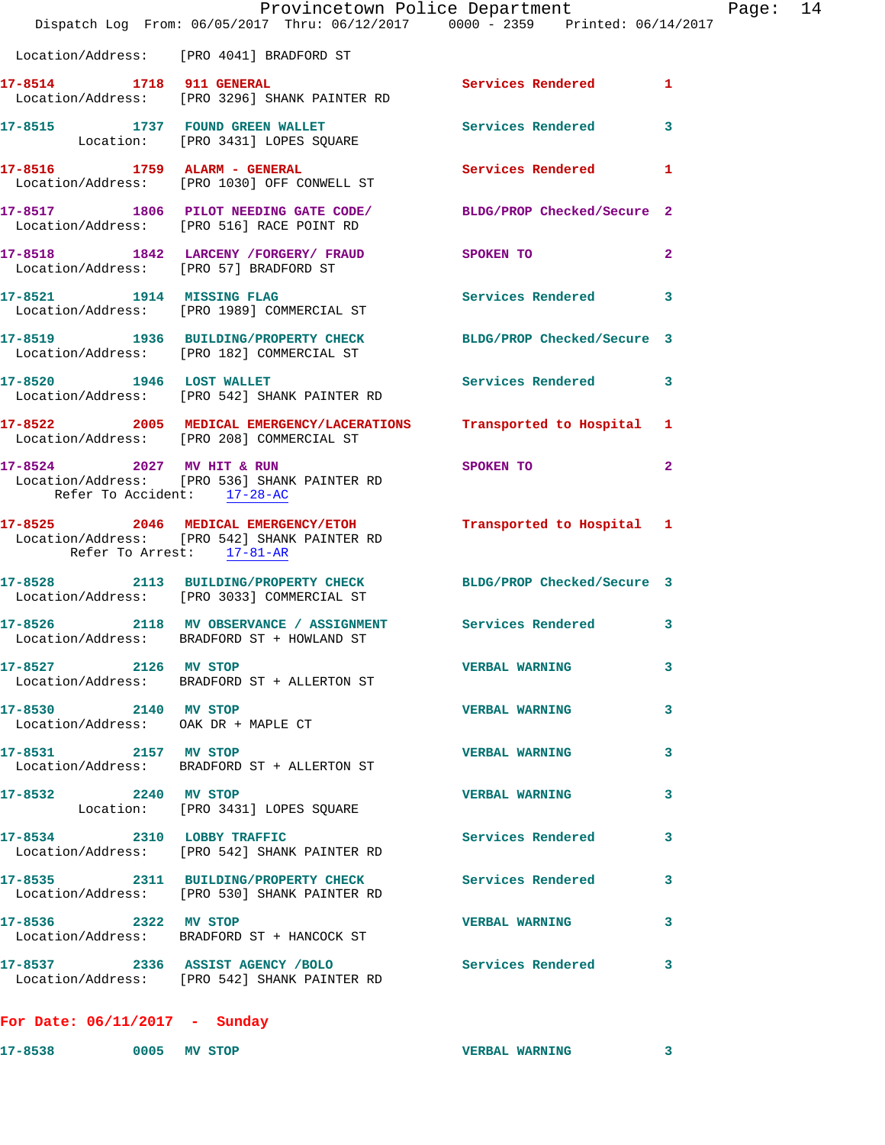|                                                             | Provincetown Police Department<br>Dispatch Log From: 06/05/2017 Thru: 06/12/2017 0000 - 2359 Printed: 06/14/2017  |                          | Page: 14     |
|-------------------------------------------------------------|-------------------------------------------------------------------------------------------------------------------|--------------------------|--------------|
|                                                             | Location/Address: [PRO 4041] BRADFORD ST                                                                          |                          |              |
|                                                             | 17-8514 1718 911 GENERAL<br>Location/Address: [PRO 3296] SHANK PAINTER RD                                         | Services Rendered 1      |              |
|                                                             | 17-8515 1737 FOUND GREEN WALLET<br>Location: [PRO 3431] LOPES SQUARE                                              | Services Rendered        | $\mathbf{3}$ |
|                                                             | 17-8516 1759 ALARM - GENERAL<br>Location/Address: [PRO 1030] OFF CONWELL ST                                       | Services Rendered 1      |              |
|                                                             | 17-8517 1806 PILOT NEEDING GATE CODE/ BLDG/PROP Checked/Secure 2<br>Location/Address: [PRO 516] RACE POINT RD     |                          |              |
| Location/Address: [PRO 57] BRADFORD ST                      | 17-8518 1842 LARCENY / FORGERY / FRAUD SPOKEN TO                                                                  |                          | $\mathbf{2}$ |
|                                                             | 17-8521 1914 MISSING FLAG<br>Location/Address: [PRO 1989] COMMERCIAL ST                                           | Services Rendered 3      |              |
|                                                             | 17-8519 1936 BUILDING/PROPERTY CHECK BLDG/PROP Checked/Secure 3<br>Location/Address: [PRO 182] COMMERCIAL ST      |                          |              |
| 17-8520 1946 LOST WALLET                                    | Location/Address: [PRO 542] SHANK PAINTER RD                                                                      | Services Rendered 3      |              |
|                                                             | 17-8522 2005 MEDICAL EMERGENCY/LACERATIONS Transported to Hospital 1<br>Location/Address: [PRO 208] COMMERCIAL ST |                          |              |
| 17-8524 2027 MV HIT & RUN<br>Refer To Accident: 17-28-AC    | Location/Address: [PRO 536] SHANK PAINTER RD                                                                      | SPOKEN TO                | $\mathbf{2}$ |
| Refer To Arrest: 17-81-AR                                   | 17-8525 2046 MEDICAL EMERGENCY/ETOH Transported to Hospital 1<br>Location/Address: [PRO 542] SHANK PAINTER RD     |                          |              |
|                                                             | 17-8528 2113 BUILDING/PROPERTY CHECK BLDG/PROP Checked/Secure 3<br>Location/Address: [PRO 3033] COMMERCIAL ST     |                          |              |
|                                                             | 17-8526 2118 MV OBSERVANCE / ASSIGNMENT Services Rendered 3<br>Location/Address: BRADFORD ST + HOWLAND ST         |                          |              |
| 17-8527 2126 MV STOP                                        | Location/Address: BRADFORD ST + ALLERTON ST                                                                       | <b>VERBAL WARNING</b>    | 3            |
| 17-8530 2140 MV STOP<br>Location/Address: OAK DR + MAPLE CT |                                                                                                                   | <b>VERBAL WARNING</b>    | 3            |
| 17-8531 2157 MV STOP                                        | Location/Address: BRADFORD ST + ALLERTON ST                                                                       | <b>VERBAL WARNING</b>    | 3            |
| 17-8532 2240 MV STOP                                        | Location: [PRO 3431] LOPES SQUARE                                                                                 | <b>VERBAL WARNING</b>    | 3            |
|                                                             | 17-8534 2310 LOBBY TRAFFIC<br>Location/Address: [PRO 542] SHANK PAINTER RD                                        | <b>Services Rendered</b> | 3            |
|                                                             | 17-8535 2311 BUILDING/PROPERTY CHECK Services Rendered 3<br>Location/Address: [PRO 530] SHANK PAINTER RD          |                          |              |
| 17-8536 2322 MV STOP                                        | Location/Address: BRADFORD ST + HANCOCK ST                                                                        | <b>VERBAL WARNING</b>    | 3            |
|                                                             | 17-8537 2336 ASSIST AGENCY / BOLO<br>Location/Address: [PRO 542] SHANK PAINTER RD                                 | Services Rendered 3      |              |
|                                                             |                                                                                                                   |                          |              |

**For Date: 06/11/2017 - Sunday**

| 17-8538 | 0005 | <b>MV STOP</b> | <b>VERBAL WARNING</b> |  |
|---------|------|----------------|-----------------------|--|
|         |      |                |                       |  |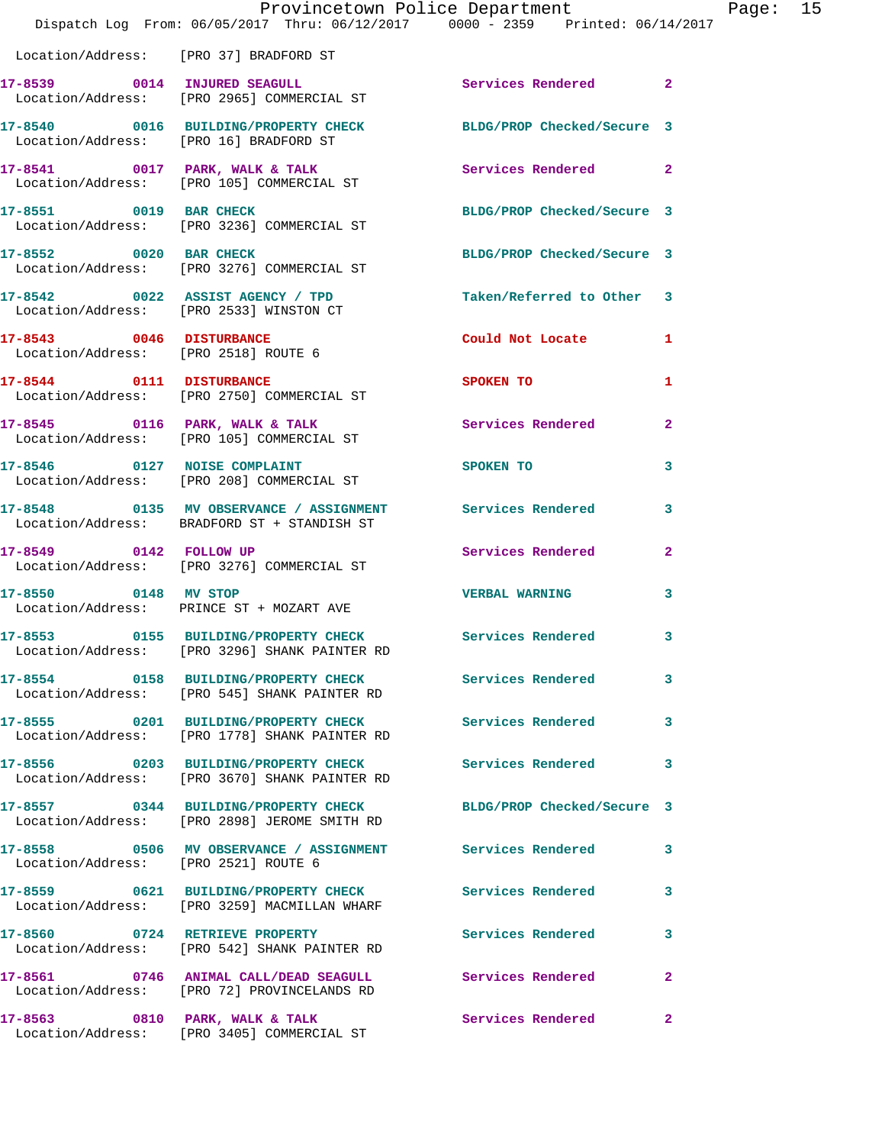|                                                                  | Provincetown Police Department<br>Dispatch Log From: 06/05/2017 Thru: 06/12/2017 0000 - 2359 Printed: 06/14/2017 |                            |              | Page: 15 |  |
|------------------------------------------------------------------|------------------------------------------------------------------------------------------------------------------|----------------------------|--------------|----------|--|
| Location/Address: [PRO 37] BRADFORD ST                           |                                                                                                                  |                            |              |          |  |
|                                                                  | 17-8539 0014 INJURED SEAGULL<br>Location/Address: [PRO 2965] COMMERCIAL ST                                       | Services Rendered 2        |              |          |  |
| Location/Address: [PRO 16] BRADFORD ST                           | 17-8540 0016 BUILDING/PROPERTY CHECK BLDG/PROP Checked/Secure 3                                                  |                            |              |          |  |
|                                                                  | 17-8541 0017 PARK, WALK & TALK 3 Services Rendered 2<br>Location/Address: [PRO 105] COMMERCIAL ST                |                            |              |          |  |
|                                                                  | 17-8551 0019 BAR CHECK<br>Location/Address: [PRO 3236] COMMERCIAL ST                                             | BLDG/PROP Checked/Secure 3 |              |          |  |
| 17-8552 0020 BAR CHECK                                           | Location/Address: [PRO 3276] COMMERCIAL ST                                                                       | BLDG/PROP Checked/Secure 3 |              |          |  |
|                                                                  |                                                                                                                  | Taken/Referred to Other 3  |              |          |  |
| 17-8543 0046 DISTURBANCE<br>Location/Address: [PRO 2518] ROUTE 6 |                                                                                                                  | Could Not Locate 1         |              |          |  |
|                                                                  | 17-8544 0111 DISTURBANCE<br>Location/Address: [PRO 2750] COMMERCIAL ST                                           | SPOKEN TO                  | 1            |          |  |
|                                                                  | 17-8545 0116 PARK, WALK & TALK<br>Location/Address: [PRO 105] COMMERCIAL ST                                      | Services Rendered          | $\mathbf{2}$ |          |  |
|                                                                  | 17-8546 0127 NOISE COMPLAINT<br>Location/Address: [PRO 208] COMMERCIAL ST                                        | SPOKEN TO                  | 3            |          |  |
|                                                                  | 17-8548 0135 MV OBSERVANCE / ASSIGNMENT Services Rendered<br>Location/Address: BRADFORD ST + STANDISH ST         |                            | 3            |          |  |
| 17-8549 0142 FOLLOW UP                                           | Location/Address: [PRO 3276] COMMERCIAL ST                                                                       | Services Rendered          | $\mathbf{2}$ |          |  |
| 17-8550 0148 MV STOP                                             | Location/Address: PRINCE ST + MOZART AVE                                                                         | <b>VERBAL WARNING</b>      | 3            |          |  |
|                                                                  | 17-8553 0155 BUILDING/PROPERTY CHECK<br>Location/Address: [PRO 3296] SHANK PAINTER RD                            | Services Rendered 3        |              |          |  |
|                                                                  | 17-8554 0158 BUILDING/PROPERTY CHECK Services Rendered<br>Location/Address: [PRO 545] SHANK PAINTER RD           |                            | 3            |          |  |
|                                                                  |                                                                                                                  | Services Rendered          | $\mathbf{3}$ |          |  |
|                                                                  | 17-8556 0203 BUILDING/PROPERTY CHECK<br>Location/Address: [PRO 3670] SHANK PAINTER RD                            | <b>Services Rendered</b>   | 3            |          |  |
|                                                                  | 17-8557 0344 BUILDING/PROPERTY CHECK BLDG/PROP Checked/Secure 3<br>Location/Address: [PRO 2898] JEROME SMITH RD  |                            |              |          |  |
| Location/Address: [PRO 2521] ROUTE 6                             | 17-8558 6506 MV OBSERVANCE / ASSIGNMENT Services Rendered                                                        |                            | 3            |          |  |
|                                                                  | 17-8559 0621 BUILDING/PROPERTY CHECK Services Rendered 3<br>Location/Address: [PRO 3259] MACMILLAN WHARF         |                            |              |          |  |
|                                                                  | 17-8560 0724 RETRIEVE PROPERTY<br>Location/Address: [PRO 542] SHANK PAINTER RD                                   | <b>Services Rendered</b>   | 3            |          |  |
|                                                                  | 17-8561 0746 ANIMAL CALL/DEAD SEAGULL Services Rendered<br>Location/Address: [PRO 72] PROVINCELANDS RD           |                            | $\mathbf{2}$ |          |  |
|                                                                  | 17-8563 0810 PARK, WALK & TALK<br>Location/Address: [PRO 3405] COMMERCIAL ST                                     | Services Rendered          | $\mathbf{2}$ |          |  |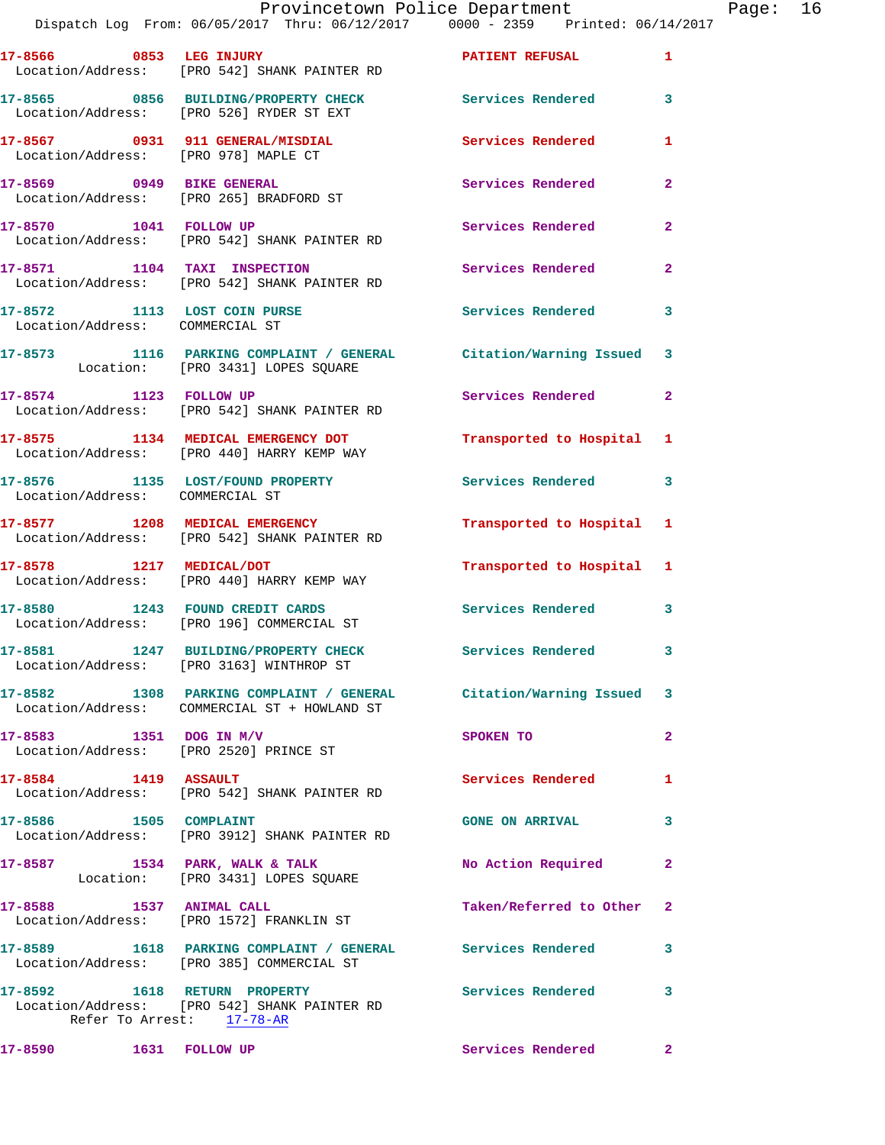|                                                                          | 17-8566 0853 LEG INJURY<br>Location/Address: [PRO 542] SHANK PAINTER RD                                            | <b>PATIENT REFUSAL</b>             | $\mathbf{1}$   |
|--------------------------------------------------------------------------|--------------------------------------------------------------------------------------------------------------------|------------------------------------|----------------|
|                                                                          | 17-8565 0856 BUILDING/PROPERTY CHECK<br>Location/Address: [PRO 526] RYDER ST EXT                                   | Services Rendered                  | $\mathbf{3}$   |
| 17-8567 0931 911 GENERAL/MISDIAL<br>Location/Address: [PRO 978] MAPLE CT |                                                                                                                    | Services Rendered                  | 1              |
| 17-8569 0949 BIKE GENERAL                                                | Location/Address: [PRO 265] BRADFORD ST                                                                            | Services Rendered                  | $\overline{2}$ |
| 17-8570 1041 FOLLOW UP                                                   | Location/Address: [PRO 542] SHANK PAINTER RD                                                                       | Services Rendered                  | $\mathbf{2}$   |
| 17-8571 1104 TAXI INSPECTION                                             | Location/Address: [PRO 542] SHANK PAINTER RD                                                                       | Services Rendered                  | $\overline{2}$ |
| 17-8572 1113 LOST COIN PURSE<br>Location/Address: COMMERCIAL ST          |                                                                                                                    | <b>Services Rendered</b>           | 3              |
|                                                                          | 17-8573 1116 PARKING COMPLAINT / GENERAL Citation/Warning Issued 3<br>Location: [PRO 3431] LOPES SQUARE            |                                    |                |
| 17-8574 1123 FOLLOW UP                                                   | Location/Address: [PRO 542] SHANK PAINTER RD                                                                       | Services Rendered 2                |                |
|                                                                          | 17-8575 1134 MEDICAL EMERGENCY DOT<br>Location/Address: [PRO 440] HARRY KEMP WAY                                   | Transported to Hospital 1          |                |
| Location/Address: COMMERCIAL ST                                          | 17-8576 1135 LOST/FOUND PROPERTY                                                                                   | Services Rendered 3                |                |
|                                                                          | 17-8577 1208 MEDICAL EMERGENCY<br>Location/Address: [PRO 542] SHANK PAINTER RD                                     | Transported to Hospital 1          |                |
| 17-8578 1217 MEDICAL/DOT                                                 | Location/Address: [PRO 440] HARRY KEMP WAY                                                                         | Transported to Hospital 1          |                |
|                                                                          | 17-8580 1243 FOUND CREDIT CARDS<br>Location/Address: [PRO 196] COMMERCIAL ST                                       | Services Rendered                  | $\mathbf{3}$   |
|                                                                          | 17-8581 1247 BUILDING/PROPERTY CHECK<br>Location/Address: [PRO 3163] WINTHROP ST                                   | Services Rendered                  | 3              |
|                                                                          | 17-8582 1308 PARKING COMPLAINT / GENERAL Citation/Warning Issued 3<br>Location/Address: COMMERCIAL ST + HOWLAND ST |                                    |                |
| 17-8583 1351 DOG IN M/V                                                  | Location/Address: [PRO 2520] PRINCE ST                                                                             | SPOKEN TO                          | $\overline{2}$ |
| 17-8584 1419 ASSAULT                                                     | Location/Address: [PRO 542] SHANK PAINTER RD                                                                       | Services Rendered 1                |                |
| 17-8586 1505 COMPLAINT                                                   | Location/Address: [PRO 3912] SHANK PAINTER RD                                                                      | $\sim$ 3<br><b>GONE ON ARRIVAL</b> |                |
|                                                                          | 17-8587 1534 PARK, WALK & TALK<br>Location: [PRO 3431] LOPES SQUARE                                                | No Action Required 2               |                |
| 17-8588 1537 ANIMAL CALL                                                 | Location/Address: [PRO 1572] FRANKLIN ST                                                                           | Taken/Referred to Other 2          |                |
|                                                                          | 17-8589 1618 PARKING COMPLAINT / GENERAL Services Rendered<br>Location/Address: [PRO 385] COMMERCIAL ST            |                                    | 3              |
| 17-8592 1618 RETURN PROPERTY                                             | Location/Address: [PRO 542] SHANK PAINTER RD<br>Refer To Arrest: 17-78-AR                                          | Services Rendered 3                |                |
| 17-8590 1631 FOLLOW UP                                                   |                                                                                                                    | Services Rendered 2                |                |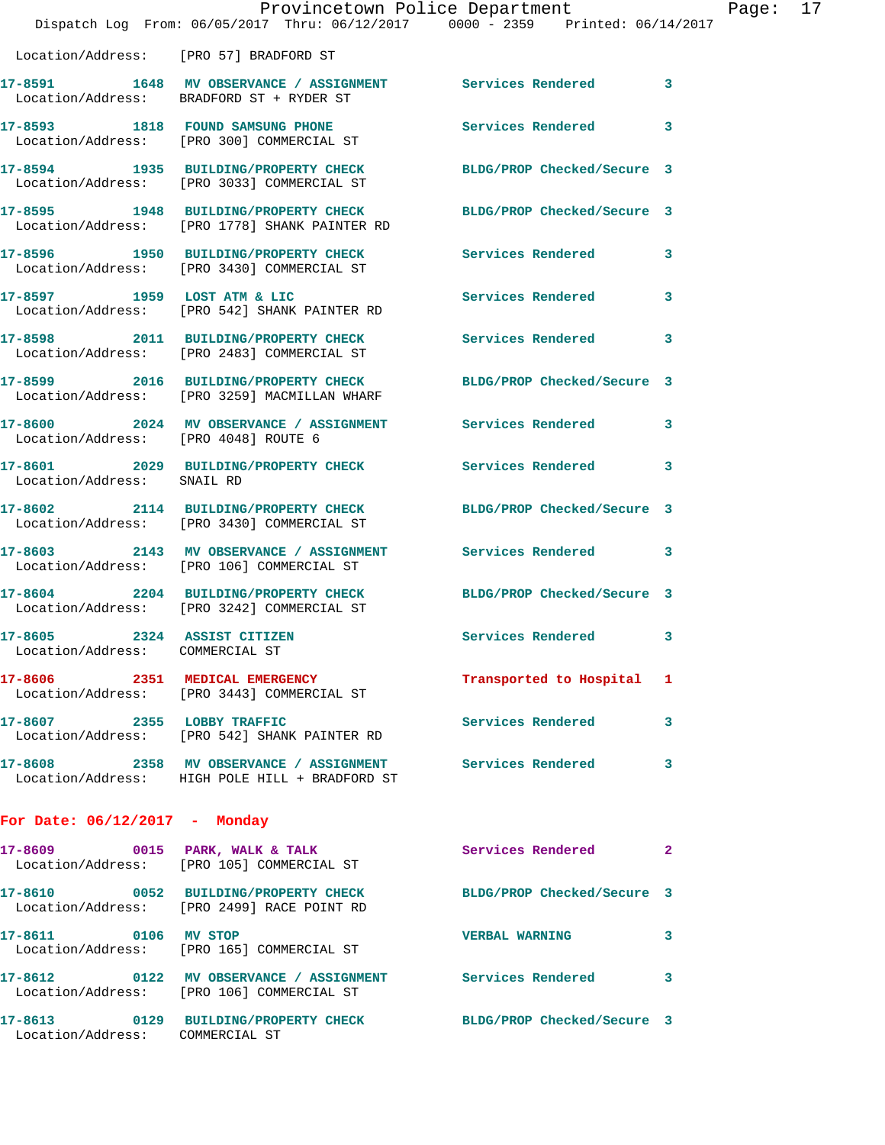|                                                    | Provincetown Police Department<br>Dispatch Log From: 06/05/2017 Thru: 06/12/2017 0000 - 2359 Printed: 06/14/2017 |                            |              |
|----------------------------------------------------|------------------------------------------------------------------------------------------------------------------|----------------------------|--------------|
| Location/Address: [PRO 57] BRADFORD ST             |                                                                                                                  |                            |              |
|                                                    | 17-8591 1648 MV OBSERVANCE / ASSIGNMENT Services Rendered<br>Location/Address: BRADFORD ST + RYDER ST            |                            | 3            |
|                                                    | 17-8593 1818 FOUND SAMSUNG PHONE<br>Location/Address: [PRO 300] COMMERCIAL ST                                    | Services Rendered          | 3            |
|                                                    | 17-8594 1935 BUILDING/PROPERTY CHECK<br>Location/Address: [PRO 3033] COMMERCIAL ST                               | BLDG/PROP Checked/Secure 3 |              |
|                                                    | 17-8595 1948 BUILDING/PROPERTY CHECK<br>Location/Address: [PRO 1778] SHANK PAINTER RD                            | BLDG/PROP Checked/Secure 3 |              |
|                                                    | 17-8596 1950 BUILDING/PROPERTY CHECK<br>Location/Address: [PRO 3430] COMMERCIAL ST                               | Services Rendered          | 3            |
| 17-8597 1959 LOST ATM & LIC                        | Location/Address: [PRO 542] SHANK PAINTER RD                                                                     | Services Rendered          | 3            |
|                                                    | 17-8598 2011 BUILDING/PROPERTY CHECK<br>Location/Address: [PRO 2483] COMMERCIAL ST                               | <b>Services Rendered</b>   | 3            |
|                                                    | 17-8599 2016 BUILDING/PROPERTY CHECK<br>Location/Address: [PRO 3259] MACMILLAN WHARF                             | BLDG/PROP Checked/Secure 3 |              |
| Location/Address: [PRO 4048] ROUTE 6               | 17-8600 2024 MV OBSERVANCE / ASSIGNMENT Services Rendered                                                        |                            | 3            |
| Location/Address: SNAIL RD                         | 17-8601 2029 BUILDING/PROPERTY CHECK                                                                             | <b>Services Rendered</b>   | 3            |
|                                                    | 17-8602 2114 BUILDING/PROPERTY CHECK<br>Location/Address: [PRO 3430] COMMERCIAL ST                               | BLDG/PROP Checked/Secure 3 |              |
|                                                    | 17-8603 2143 MV OBSERVANCE / ASSIGNMENT<br>Location/Address: [PRO 106] COMMERCIAL ST                             | <b>Services Rendered</b>   | 3            |
|                                                    | 17-8604 2204 BUILDING/PROPERTY CHECK<br>Location/Address: [PRO 3242] COMMERCIAL ST                               | BLDG/PROP Checked/Secure 3 |              |
| 17-8605<br>2324<br>Location/Address: COMMERCIAL ST | ASSIST CITIZEN                                                                                                   | Services Rendered          | 3            |
|                                                    | 17-8606 2351 MEDICAL EMERGENCY<br>Location/Address: [PRO 3443] COMMERCIAL ST                                     | Transported to Hospital    | 1            |
| 17-8607 2355 LOBBY TRAFFIC                         | Location/Address: [PRO 542] SHANK PAINTER RD                                                                     | Services Rendered          | 3            |
|                                                    | 17-8608 2358 MV OBSERVANCE / ASSIGNMENT Services Rendered<br>Location/Address: HIGH POLE HILL + BRADFORD ST      |                            | 3            |
| For Date: 06/12/2017 - Monday                      |                                                                                                                  |                            |              |
|                                                    | 17-8609 0015 PARK, WALK & TALK<br>Location/Address: [PRO 105] COMMERCIAL ST                                      | Services Rendered          | $\mathbf{2}$ |
|                                                    | 17-8610 0052 BUILDING/PROPERTY CHECK<br>Location/Address: [PRO 2499] RACE POINT RD                               | BLDG/PROP Checked/Secure 3 |              |
| 17-8611 0106 MV STOP                               | Location/Address: [PRO 165] COMMERCIAL ST                                                                        | <b>VERBAL WARNING</b>      | 3            |
|                                                    | 17-8612 0122 MV OBSERVANCE / ASSIGNMENT Services Rendered<br>Location/Address: [PRO 106] COMMERCIAL ST           |                            | 3            |

**17-8613 0129 BUILDING/PROPERTY CHECK BLDG/PROP Checked/Secure 3**  Location/Address: COMMERCIAL ST

Page: 17<br>017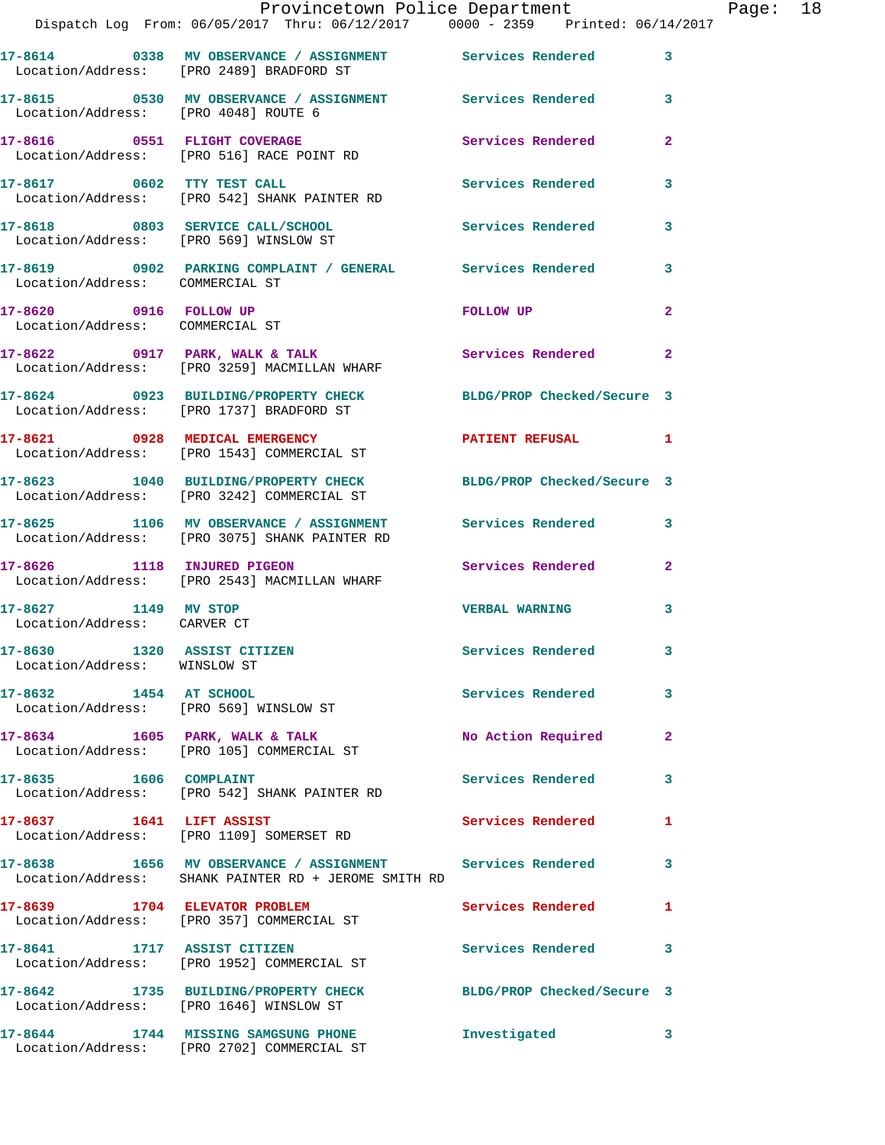|                                                     | Provincetown Police Department The Page: 18<br>Dispatch Log From: 06/05/2017 Thru: 06/12/2017   0000 - 2359   Printed: 06/14/2017 |                          |                |  |
|-----------------------------------------------------|-----------------------------------------------------------------------------------------------------------------------------------|--------------------------|----------------|--|
|                                                     | 17-8614 0338 MV OBSERVANCE / ASSIGNMENT Services Rendered<br>Location/Address: [PRO 2489] BRADFORD ST                             |                          | $\mathbf{3}$   |  |
| Location/Address: [PRO 4048] ROUTE 6                | 17-8615 0530 MV OBSERVANCE / ASSIGNMENT Services Rendered 3                                                                       |                          |                |  |
|                                                     | 17-8616 0551 FLIGHT COVERAGE<br>Location/Address: [PRO 516] RACE POINT RD                                                         | Services Rendered        | $\mathbf{2}$   |  |
|                                                     | 17-8617 0602 TTY TEST CALL Services Rendered<br>Location/Address: [PRO 542] SHANK PAINTER RD                                      |                          | 3              |  |
|                                                     | 17-8618 0803 SERVICE CALL/SCHOOL Services Rendered 3<br>Location/Address: [PRO 569] WINSLOW ST                                    |                          |                |  |
| Location/Address: COMMERCIAL ST                     | 17-8619 0902 PARKING COMPLAINT / GENERAL Services Rendered                                                                        |                          | 3              |  |
| 17-8620 0916 FOLLOW UP                              | Location/Address: COMMERCIAL ST                                                                                                   | FOLLOW UP                | $\overline{2}$ |  |
|                                                     | 17-8622 0917 PARK, WALK & TALK 30 Services Rendered<br>Location/Address: [PRO 3259] MACMILLAN WHARF                               |                          | $\overline{2}$ |  |
|                                                     | 17-8624 0923 BUILDING/PROPERTY CHECK BLDG/PROP Checked/Secure 3<br>Location/Address: [PRO 1737] BRADFORD ST                       |                          |                |  |
|                                                     | 17-8621 0928 MEDICAL EMERGENCY PATIENT REFUSAL 1<br>Location/Address: [PRO 1543] COMMERCIAL ST                                    |                          |                |  |
|                                                     | 17-8623 1040 BUILDING/PROPERTY CHECK BLDG/PROP Checked/Secure 3<br>Location/Address: [PRO 3242] COMMERCIAL ST                     |                          |                |  |
|                                                     | 17-8625 1106 MV OBSERVANCE / ASSIGNMENT Services Rendered 3<br>Location/Address: [PRO 3075] SHANK PAINTER RD                      |                          |                |  |
| 17-8626 1118 INJURED PIGEON                         | Location/Address: [PRO 2543] MACMILLAN WHARF                                                                                      | Services Rendered        | $\mathbf{2}$   |  |
| 17-8627 1149 MV STOP<br>Location/Address: CARVER CT |                                                                                                                                   | <b>VERBAL WARNING</b>    | $\mathbf{3}$   |  |
| Location/Address: WINSLOW ST                        | 17-8630 1320 ASSIST CITIZEN                                                                                                       | <b>Services Rendered</b> |                |  |
|                                                     | 17-8632 1454 AT SCHOOL<br>Location/Address: [PRO 569] WINSLOW ST                                                                  | Services Rendered        | 3              |  |
|                                                     | 17-8634 1605 PARK, WALK & TALK<br>Location/Address: [PRO 105] COMMERCIAL ST                                                       | No Action Required       | $\overline{2}$ |  |
|                                                     | 17-8635 1606 COMPLAINT<br>Location/Address: [PRO 542] SHANK PAINTER RD                                                            | Services Rendered        | 3              |  |
| 17-8637 1641 LIFT ASSIST                            | Location/Address: [PRO 1109] SOMERSET RD                                                                                          | Services Rendered 1      |                |  |
|                                                     | 17-8638 1656 MV OBSERVANCE / ASSIGNMENT Services Rendered<br>Location/Address: SHANK PAINTER RD + JEROME SMITH RD                 |                          | 3              |  |
|                                                     | 17-8639 1704 ELEVATOR PROBLEM<br>Location/Address: [PRO 357] COMMERCIAL ST                                                        | Services Rendered        | 1              |  |
|                                                     | 17-8641 1717 ASSIST CITIZEN<br>Location/Address: [PRO 1952] COMMERCIAL ST                                                         | Services Rendered        | 3              |  |
|                                                     | 17-8642 1735 BUILDING/PROPERTY CHECK BLDG/PROP Checked/Secure 3<br>Location/Address: [PRO 1646] WINSLOW ST                        |                          |                |  |
|                                                     | 17-8644 1744 MISSING SAMGSUNG PHONE                                                                                               | Investigated             | 3              |  |

Location/Address: [PRO 2702] COMMERCIAL ST